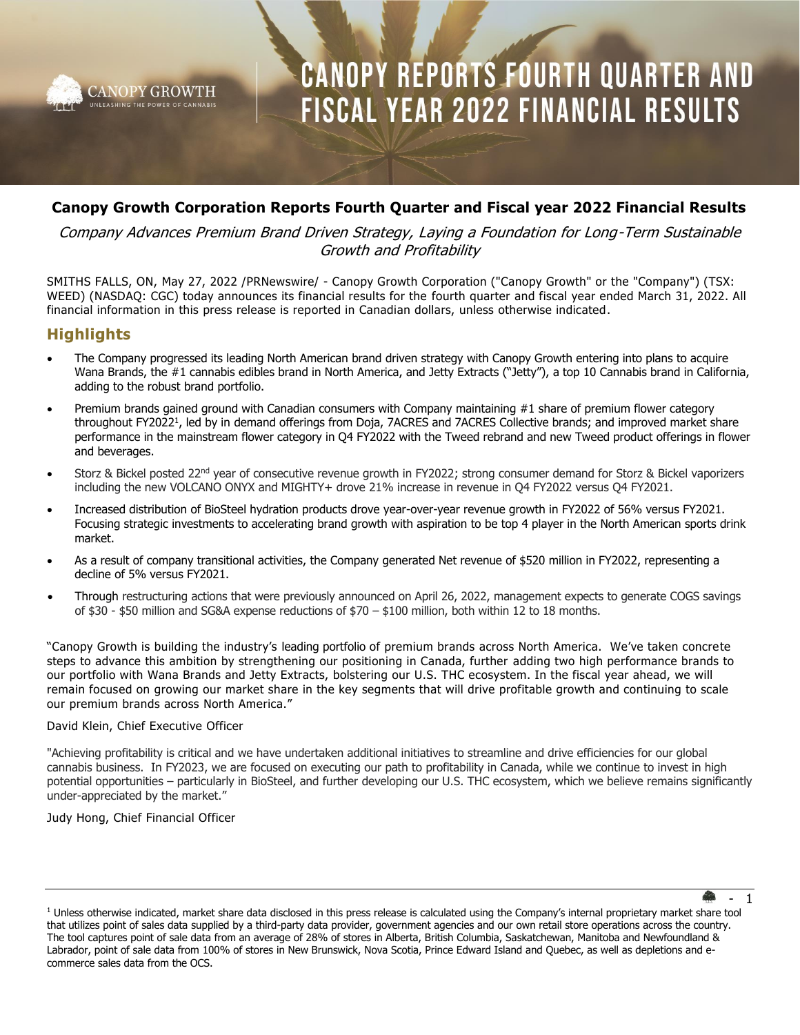

### **Canopy Growth Corporation Reports Fourth Quarter and Fiscal year 2022 Financial Results**

### Company Advances Premium Brand Driven Strategy, Laying a Foundation for Long-Term Sustainable Growth and Profitability

SMITHS FALLS, ON, May 27, 2022 /PRNewswire/ - Canopy Growth Corporation ("Canopy Growth" or the "Company") (TSX: WEED) (NASDAQ: CGC) today announces its financial results for the fourth quarter and fiscal year ended March 31, 2022. All financial information in this press release is reported in Canadian dollars, unless otherwise indicated.

### **Highlights**

- The Company progressed its leading North American brand driven strategy with Canopy Growth entering into plans to acquire Wana Brands, the #1 cannabis edibles brand in North America, and Jetty Extracts ("Jetty"), a top 10 Cannabis brand in California, adding to the robust brand portfolio.
- Premium brands gained ground with Canadian consumers with Company maintaining #1 share of premium flower category throughout FY2022<sup>1</sup>, led by in demand offerings from Doja, 7ACRES and 7ACRES Collective brands; and improved market share performance in the mainstream flower category in Q4 FY2022 with the Tweed rebrand and new Tweed product offerings in flower and beverages.
- Storz & Bickel posted 22<sup>nd</sup> year of consecutive revenue growth in FY2022; strong consumer demand for Storz & Bickel vaporizers including the new VOLCANO ONYX and MIGHTY+ drove 21% increase in revenue in Q4 FY2022 versus Q4 FY2021.
- Increased distribution of BioSteel hydration products drove year-over-year revenue growth in FY2022 of 56% versus FY2021. Focusing strategic investments to accelerating brand growth with aspiration to be top 4 player in the North American sports drink market.
- As a result of company transitional activities, the Company generated Net revenue of \$520 million in FY2022, representing a decline of 5% versus FY2021.
- Through restructuring actions that were previously announced on April 26, 2022, management expects to generate COGS savings of \$30 - \$50 million and SG&A expense reductions of \$70 – \$100 million, both within 12 to 18 months.

"Canopy Growth is building the industry's leading portfolio of premium brands across North America. We've taken concrete steps to advance this ambition by strengthening our positioning in Canada, further adding two high performance brands to our portfolio with Wana Brands and Jetty Extracts, bolstering our U.S. THC ecosystem. In the fiscal year ahead, we will remain focused on growing our market share in the key segments that will drive profitable growth and continuing to scale our premium brands across North America."

### David Klein, Chief Executive Officer

"Achieving profitability is critical and we have undertaken additional initiatives to streamline and drive efficiencies for our global cannabis business. In FY2023, we are focused on executing our path to profitability in Canada, while we continue to invest in high potential opportunities – particularly in BioSteel, and further developing our U.S. THC ecosystem, which we believe remains significantly under-appreciated by the market."

### Judy Hong, Chief Financial Officer

<sup>1</sup> Unless otherwise indicated, market share data disclosed in this press release is calculated using the Company's internal proprietary market share tool that utilizes point of sales data supplied by a third-party data provider, government agencies and our own retail store operations across the country. The tool captures point of sale data from an average of 28% of stores in Alberta, British Columbia, Saskatchewan, Manitoba and Newfoundland & Labrador, point of sale data from 100% of stores in New Brunswick, Nova Scotia, Prince Edward Island and Quebec, as well as depletions and ecommerce sales data from the OCS.

 $\mathbf 1$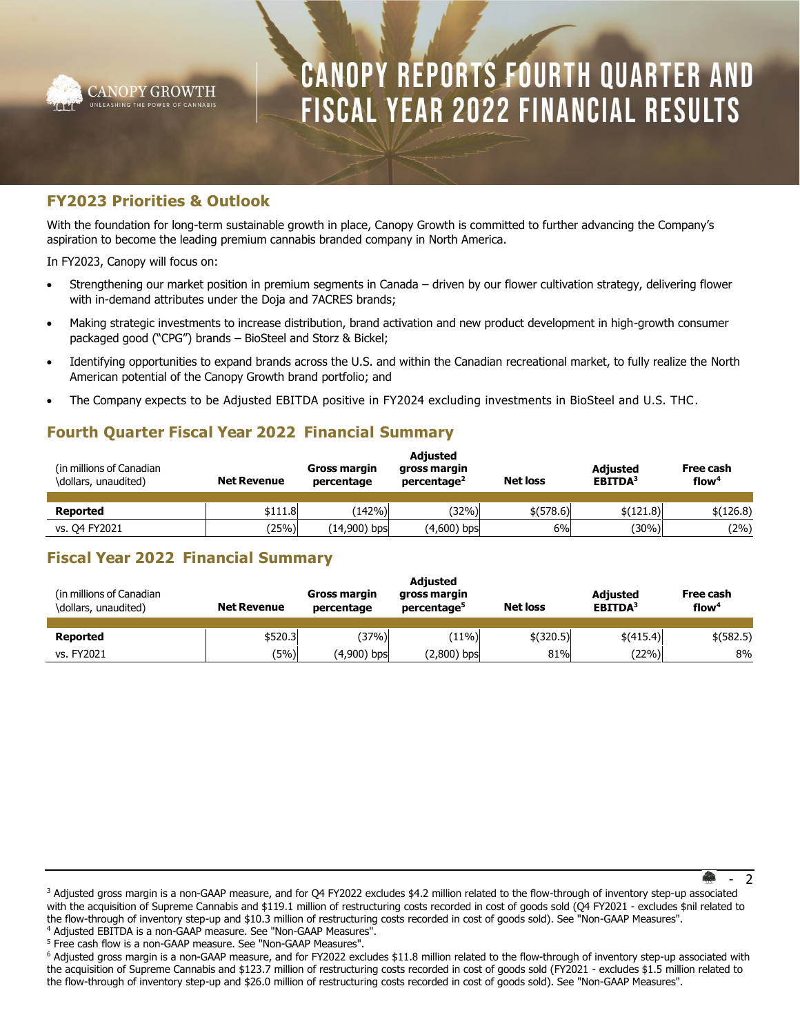

### **FY2023 Priorities & Outlook**

With the foundation for long-term sustainable growth in place, Canopy Growth is committed to further advancing the Company's aspiration to become the leading premium cannabis branded company in North America.

In FY2023, Canopy will focus on:

- Strengthening our market position in premium segments in Canada driven by our flower cultivation strategy, delivering flower with in-demand attributes under the Doja and 7ACRES brands;
- Making strategic investments to increase distribution, brand activation and new product development in high-growth consumer packaged good ("CPG") brands – BioSteel and Storz & Bickel;
- Identifying opportunities to expand brands across the U.S. and within the Canadian recreational market, to fully realize the North American potential of the Canopy Growth brand portfolio; and
- The Company expects to be Adjusted EBITDA positive in FY2024 excluding investments in BioSteel and U.S. THC.

### **Fourth Quarter Fiscal Year 2022 Financial Summary**

| (in millions of Canadian)<br>\dollars, unaudited) | <b>Net Revenue</b> | Gross margin<br>percentage | <b>Adjusted</b><br>gross margin<br>percentage <sup>2</sup> | <b>Net loss</b> | <b>Adjusted</b><br>EBITDA <sup>3</sup> | Free cash<br>flow <sup>4</sup> |
|---------------------------------------------------|--------------------|----------------------------|------------------------------------------------------------|-----------------|----------------------------------------|--------------------------------|
| <b>Reported</b>                                   | \$111.8            | (142%)                     | $(32\%)$                                                   | \$(578.6)       | \$(121.8)                              | \$(126.8)                      |
| vs. 04 FY2021                                     | $^{\prime}25\%$    | $(14,900)$ bps             | $(4,600)$ bps                                              | 6%              | (30%)                                  | (2%)                           |

### **Fiscal Year 2022 Financial Summary**

| (in millions of Canadian)<br>\dollars, unaudited) | <b>Net Revenue</b> | Gross margin<br>percentage | <b>Adjusted</b><br>gross margin<br>percentage <sup>5</sup> | <b>Net loss</b> | <b>Adjusted</b><br>EBITDA <sup>3</sup> | Free cash<br>flow <sup>4</sup> |
|---------------------------------------------------|--------------------|----------------------------|------------------------------------------------------------|-----------------|----------------------------------------|--------------------------------|
| Reported                                          | \$520.3            | (37%)                      | (11%)                                                      | $$$ (320.5)     | \$(415.4)                              | $$$ (582.5)                    |
| vs. FY2021                                        | (5%)               | (4,900) bps                | $(2,800)$ bps                                              | 81%             | $(22\%)$                               | 8%                             |

<sup>5</sup> Free cash flow is a non-GAAP measure. See "Non-GAAP Measures".

 <sup>- 2</sup>

<sup>&</sup>lt;sup>3</sup> Adjusted gross margin is a non-GAAP measure, and for Q4 FY2022 excludes \$4.2 million related to the flow-through of inventory step-up associated with the acquisition of Supreme Cannabis and \$119.1 million of restructuring costs recorded in cost of goods sold (Q4 FY2021 - excludes \$nil related to the flow-through of inventory step-up and \$10.3 million of restructuring costs recorded in cost of goods sold). See "Non-GAAP Measures". <sup>4</sup> Adjusted EBITDA is a non-GAAP measure. See "Non-GAAP Measures".

<sup>6</sup> Adjusted gross margin is a non-GAAP measure, and for FY2022 excludes \$11.8 million related to the flow-through of inventory step-up associated with the acquisition of Supreme Cannabis and \$123.7 million of restructuring costs recorded in cost of goods sold (FY2021 - excludes \$1.5 million related to the flow-through of inventory step-up and \$26.0 million of restructuring costs recorded in cost of goods sold). See "Non-GAAP Measures".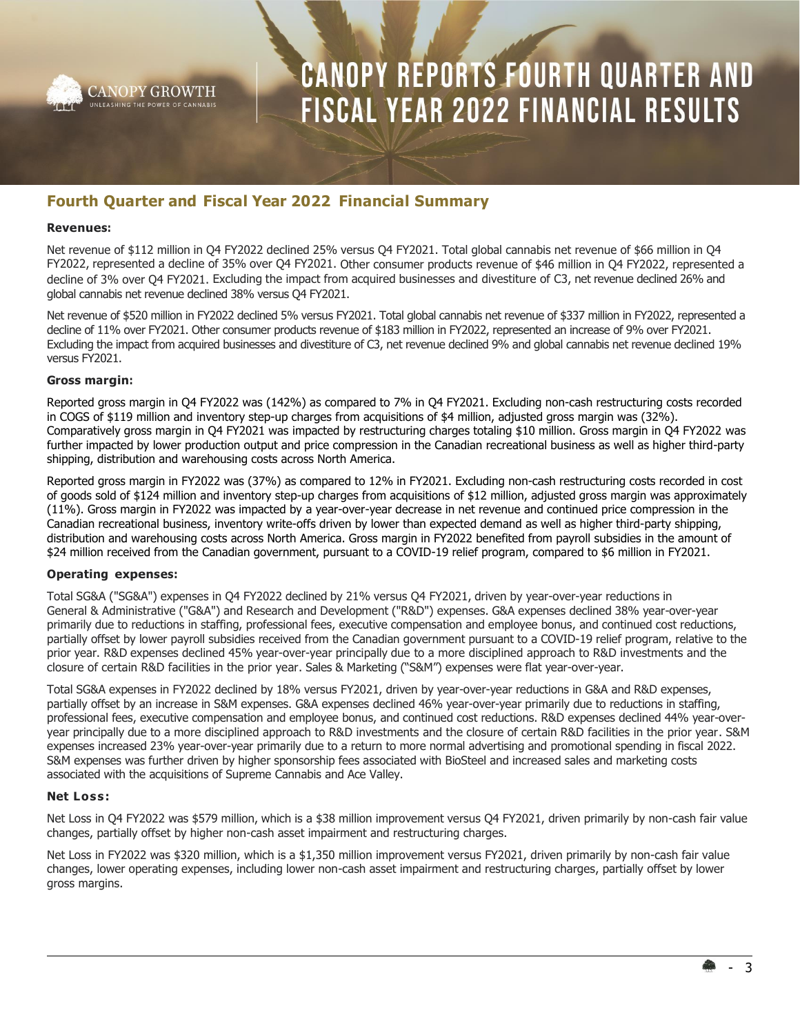

### **Fourth Quarter and Fiscal Year 2022 Financial Summary**

#### **Revenues:**

Net revenue of \$112 million in Q4 FY2022 declined 25% versus Q4 FY2021. Total global cannabis net revenue of \$66 million in Q4 FY2022, represented a decline of 35% over Q4 FY2021. Other consumer products revenue of \$46 million in Q4 FY2022, represented a decline of 3% over Q4 FY2021. Excluding the impact from acquired businesses and divestiture of C3, net revenue declined 26% and global cannabis net revenue declined 38% versus Q4 FY2021.

Net revenue of \$520 million in FY2022 declined 5% versus FY2021. Total global cannabis net revenue of \$337 million in FY2022, represented a decline of 11% over FY2021. Other consumer products revenue of \$183 million in FY2022, represented an increase of 9% over FY2021. Excluding the impact from acquired businesses and divestiture of C3, net revenue declined 9% and global cannabis net revenue declined 19% versus FY2021.

### **Gross margin:**

Reported gross margin in Q4 FY2022 was (142%) as compared to 7% in Q4 FY2021. Excluding non-cash restructuring costs recorded in COGS of \$119 million and inventory step-up charges from acquisitions of \$4 million, adjusted gross margin was (32%). Comparatively gross margin in Q4 FY2021 was impacted by restructuring charges totaling \$10 million. Gross margin in Q4 FY2022 was further impacted by lower production output and price compression in the Canadian recreational business as well as higher third-party shipping, distribution and warehousing costs across North America.

Reported gross margin in FY2022 was (37%) as compared to 12% in FY2021. Excluding non-cash restructuring costs recorded in cost of goods sold of \$124 million and inventory step-up charges from acquisitions of \$12 million, adjusted gross margin was approximately (11%). Gross margin in FY2022 was impacted by a year-over-year decrease in net revenue and continued price compression in the Canadian recreational business, inventory write-offs driven by lower than expected demand as well as higher third-party shipping, distribution and warehousing costs across North America. Gross margin in FY2022 benefited from payroll subsidies in the amount of \$24 million received from the Canadian government, pursuant to a COVID-19 relief program, compared to \$6 million in FY2021.

### **Operating expenses:**

Total SG&A ("SG&A") expenses in Q4 FY2022 declined by 21% versus Q4 FY2021, driven by year-over-year reductions in General & Administrative ("G&A") and Research and Development ("R&D") expenses. G&A expenses declined 38% year-over-year primarily due to reductions in staffing, professional fees, executive compensation and employee bonus, and continued cost reductions, partially offset by lower payroll subsidies received from the Canadian government pursuant to a COVID-19 relief program, relative to the prior year. R&D expenses declined 45% year-over-year principally due to a more disciplined approach to R&D investments and the closure of certain R&D facilities in the prior year. Sales & Marketing ("S&M") expenses were flat year-over-year.

Total SG&A expenses in FY2022 declined by 18% versus FY2021, driven by year-over-year reductions in G&A and R&D expenses, partially offset by an increase in S&M expenses. G&A expenses declined 46% year-over-year primarily due to reductions in staffing, professional fees, executive compensation and employee bonus, and continued cost reductions. R&D expenses declined 44% year-overyear principally due to a more disciplined approach to R&D investments and the closure of certain R&D facilities in the prior year. S&M expenses increased 23% year-over-year primarily due to a return to more normal advertising and promotional spending in fiscal 2022. S&M expenses was further driven by higher sponsorship fees associated with BioSteel and increased sales and marketing costs associated with the acquisitions of Supreme Cannabis and Ace Valley.

#### **Net Loss :**

Net Loss in Q4 FY2022 was \$579 million, which is a \$38 million improvement versus Q4 FY2021, driven primarily by non-cash fair value changes, partially offset by higher non-cash asset impairment and restructuring charges.

Net Loss in FY2022 was \$320 million, which is a \$1,350 million improvement versus FY2021, driven primarily by non-cash fair value changes, lower operating expenses, including lower non-cash asset impairment and restructuring charges, partially offset by lower gross margins.

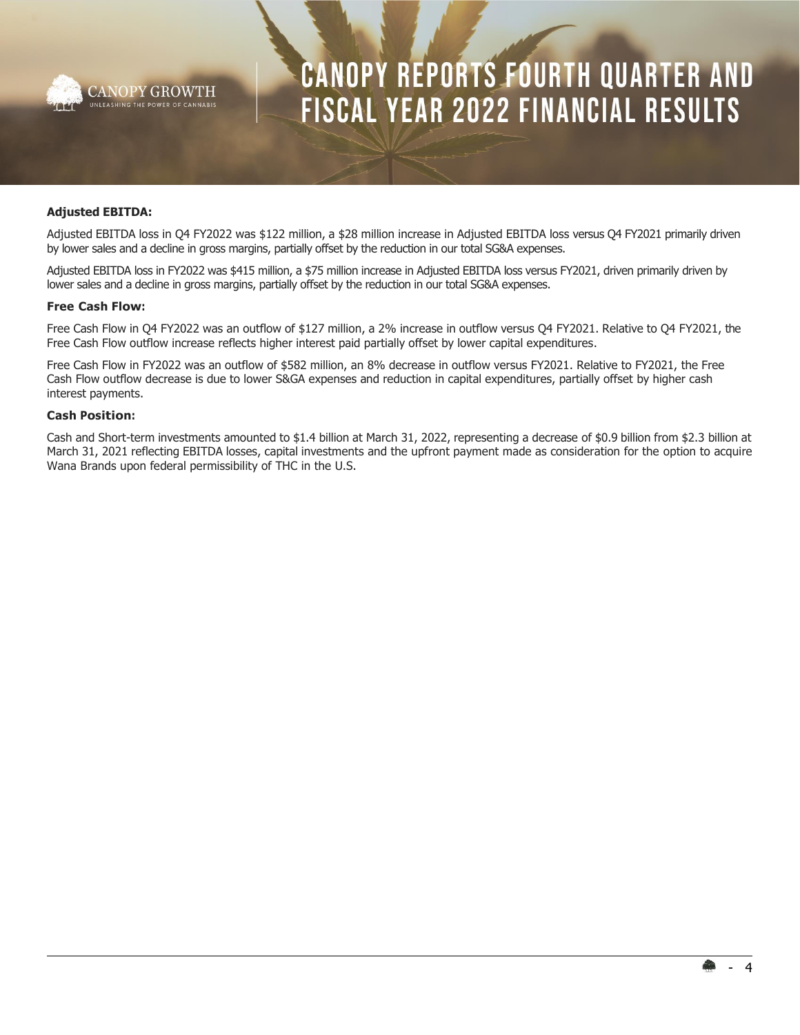

### **Adjusted EBITDA:**

Adjusted EBITDA loss in Q4 FY2022 was \$122 million, a \$28 million increase in Adjusted EBITDA loss versus Q4 FY2021 primarily driven by lower sales and a decline in gross margins, partially offset by the reduction in our total SG&A expenses.

Adjusted EBITDA loss in FY2022 was \$415 million, a \$75 million increase in Adjusted EBITDA loss versus FY2021, driven primarily driven by lower sales and a decline in gross margins, partially offset by the reduction in our total SG&A expenses.

#### **Free Cash Flow:**

Free Cash Flow in Q4 FY2022 was an outflow of \$127 million, a 2% increase in outflow versus Q4 FY2021. Relative to Q4 FY2021, the Free Cash Flow outflow increase reflects higher interest paid partially offset by lower capital expenditures.

Free Cash Flow in FY2022 was an outflow of \$582 million, an 8% decrease in outflow versus FY2021. Relative to FY2021, the Free Cash Flow outflow decrease is due to lower S&GA expenses and reduction in capital expenditures, partially offset by higher cash interest payments.

#### **Cash Position:**

Cash and Short-term investments amounted to \$1.4 billion at March 31, 2022, representing a decrease of \$0.9 billion from \$2.3 billion at March 31, 2021 reflecting EBITDA losses, capital investments and the upfront payment made as consideration for the option to acquire Wana Brands upon federal permissibility of THC in the U.S.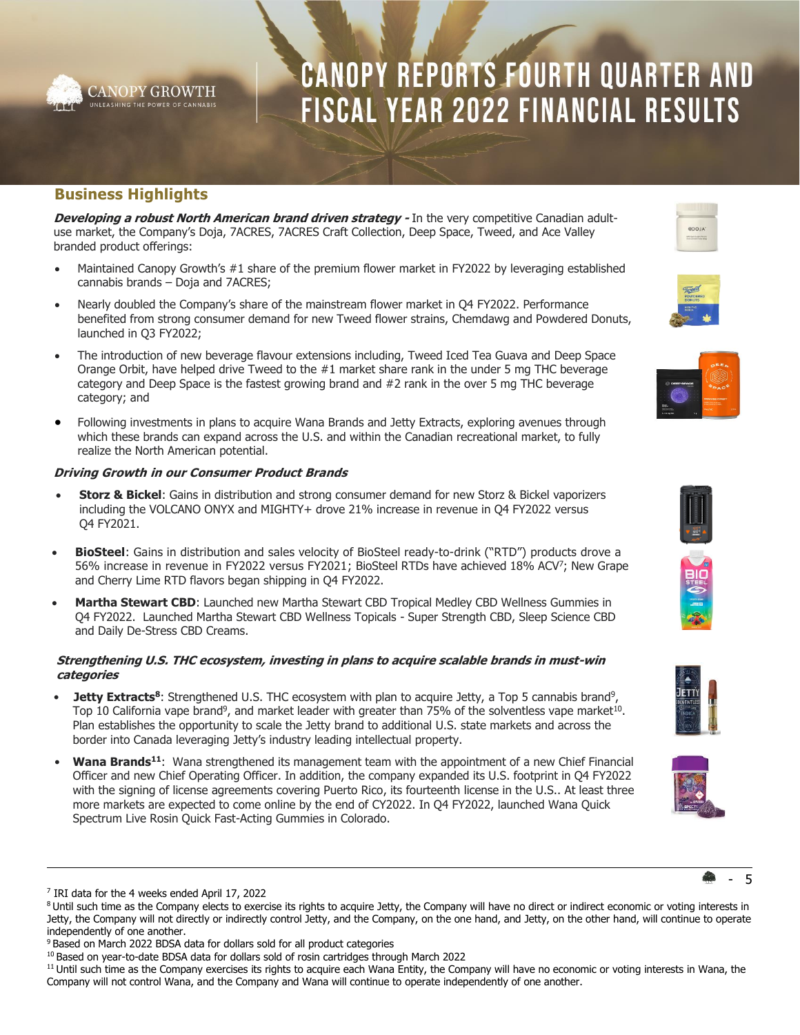

### **Business Highlights**

**Developing a robust North American brand driven strategy - In the very competitive Canadian adult**use market, the Company's Doja, 7ACRES, 7ACRES Craft Collection, Deep Space, Tweed, and Ace Valley branded product offerings:

- Maintained Canopy Growth's #1 share of the premium flower market in FY2022 by leveraging established cannabis brands – Doja and 7ACRES;
- Nearly doubled the Company's share of the mainstream flower market in Q4 FY2022. Performance benefited from strong consumer demand for new Tweed flower strains, Chemdawg and Powdered Donuts, launched in Q3 FY2022;
- The introduction of new beverage flavour extensions including, Tweed Iced Tea Guava and Deep Space Orange Orbit, have helped drive Tweed to the  $#1$  market share rank in the under 5 mg THC beverage category and Deep Space is the fastest growing brand and #2 rank in the over 5 mg THC beverage category; and
- Following investments in plans to acquire Wana Brands and Jetty Extracts, exploring avenues through which these brands can expand across the U.S. and within the Canadian recreational market, to fully realize the North American potential.

### **Driving Growth in our Consumer Product Brands**

- **Storz & Bickel**: Gains in distribution and strong consumer demand for new Storz & Bickel vaporizers including the VOLCANO ONYX and MIGHTY+ drove 21% increase in revenue in Q4 FY2022 versus Q4 FY2021.
- **BioSteel**: Gains in distribution and sales velocity of BioSteel ready-to-drink ("RTD") products drove a 56% increase in revenue in FY2022 versus FY2021; BioSteel RTDs have achieved 18% ACV<sup>7</sup>; New Grape and Cherry Lime RTD flavors began shipping in Q4 FY2022.
- **Martha Stewart CBD**: Launched new Martha Stewart CBD Tropical Medley CBD Wellness Gummies in Q4 FY2022. Launched Martha Stewart CBD Wellness Topicals - Super Strength CBD, Sleep Science CBD and Daily De-Stress CBD Creams.

### **Strengthening U.S. THC ecosystem, investing in plans to acquire scalable brands in must-win categories**

- **Jetty Extracts<sup>8</sup>:** Strengthened U.S. THC ecosystem with plan to acquire Jetty, a Top 5 cannabis brand<sup>9</sup>, Top 10 California vape brand<sup>9</sup>, and market leader with greater than 75% of the solventless vape market<sup>10</sup>. Plan establishes the opportunity to scale the Jetty brand to additional U.S. state markets and across the border into Canada leveraging Jetty's industry leading intellectual property.
- **Wana Brands<sup>11</sup>**: Wana strengthened its management team with the appointment of a new Chief Financial Officer and new Chief Operating Officer. In addition, the company expanded its U.S. footprint in Q4 FY2022 with the signing of license agreements covering Puerto Rico, its fourteenth license in the U.S.. At least three more markets are expected to come online by the end of CY2022. In Q4 FY2022, launched Wana Quick Spectrum Live Rosin Quick Fast-Acting Gummies in Colorado.

















<sup>7</sup> IRI data for the 4 weeks ended April 17, 2022

<sup>&</sup>lt;sup>8</sup> Until such time as the Company elects to exercise its rights to acquire Jetty, the Company will have no direct or indirect economic or voting interests in Jetty, the Company will not directly or indirectly control Jetty, and the Company, on the one hand, and Jetty, on the other hand, will continue to operate independently of one another.

<sup>&</sup>lt;sup>9</sup> Based on March 2022 BDSA data for dollars sold for all product categories

<sup>&</sup>lt;sup>10</sup> Based on year-to-date BDSA data for dollars sold of rosin cartridges through March 2022

 $11$  Until such time as the Company exercises its rights to acquire each Wana Entity, the Company will have no economic or voting interests in Wana, the Company will not control Wana, and the Company and Wana will continue to operate independently of one another.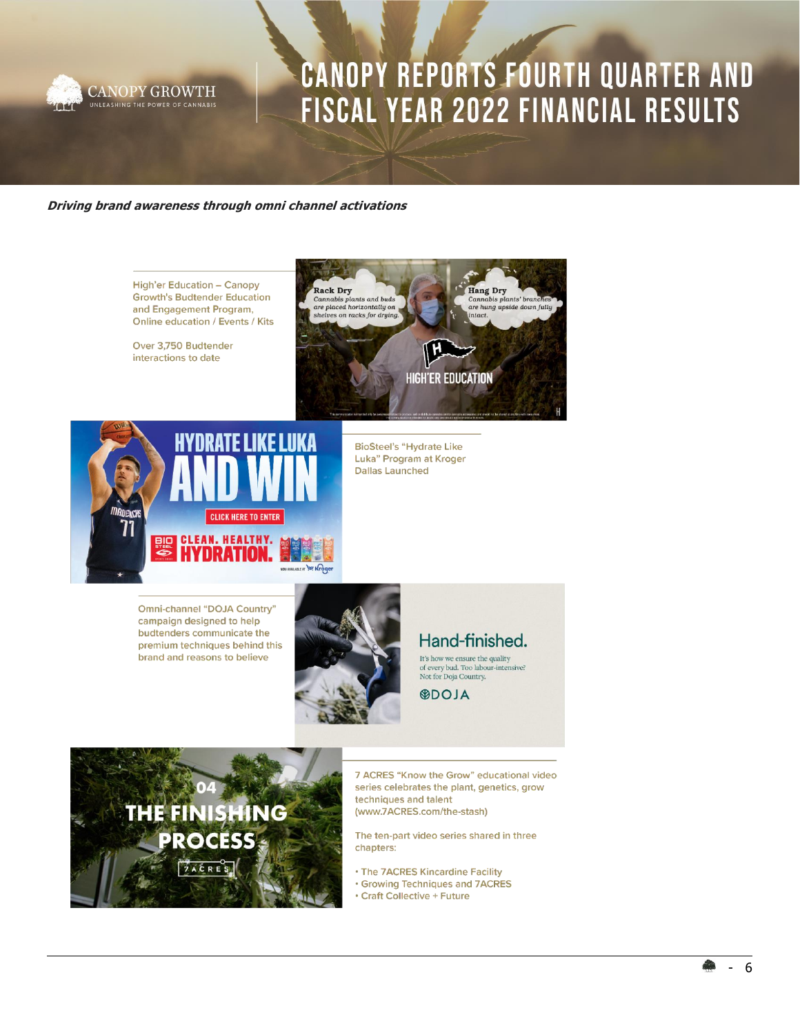

### **Driving brand awareness through omni channel activations**



Omni-channel "DOJA Country" campaign designed to help budtenders communicate the premium techniques behind this brand and reasons to believe



### Hand-finished.

 $It's how we ensure the quality of every bud. Too labour-intensive?$ Not for Doja Country.

**ALOO®** 



7 ACRES "Know the Grow" educational video series celebrates the plant, genetics, grow techniques and talent (www.7ACRES.com/the-stash)

The ten-part video series shared in three chapters:

. The 7ACRES Kincardine Facility

- **· Growing Techniques and 7ACRES**
- Craft Collective + Future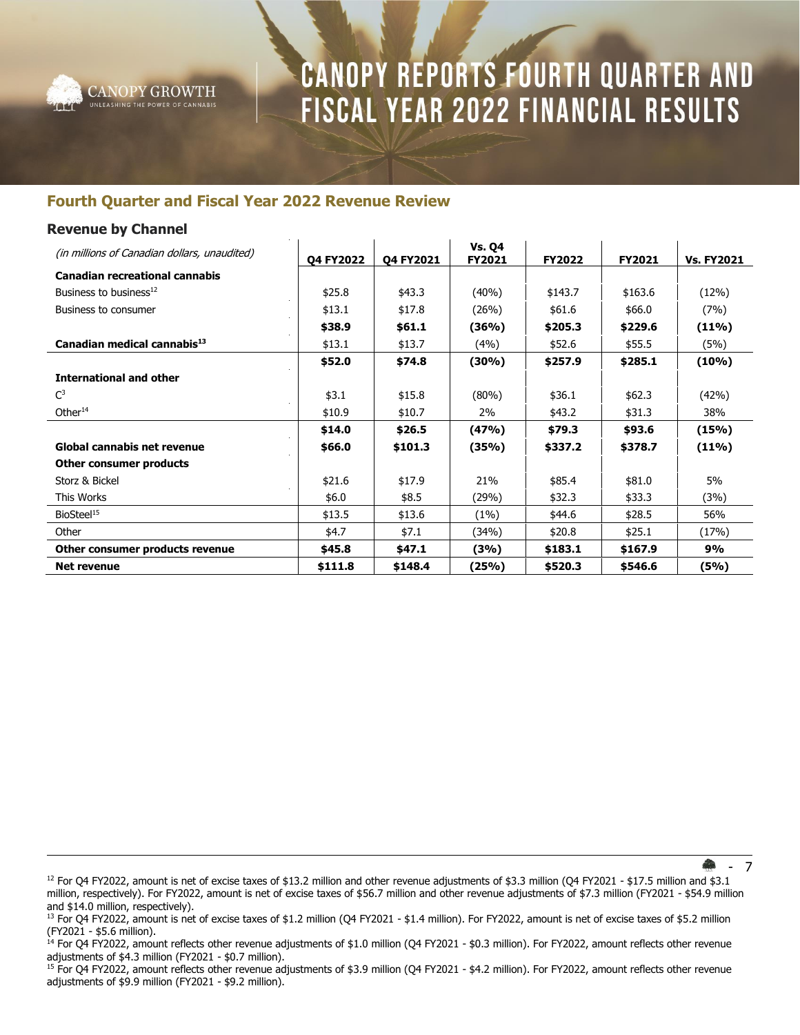

### **Fourth Quarter and Fiscal Year 2022 Revenue Review**

### **Revenue by Channel**

| (in millions of Canadian dollars, unaudited) | Q4 FY2022 | Q4 FY2021 | <b>Vs. Q4</b><br>FY2021 | <b>FY2022</b> | FY2021  | <b>Vs. FY2021</b> |
|----------------------------------------------|-----------|-----------|-------------------------|---------------|---------|-------------------|
| <b>Canadian recreational cannabis</b>        |           |           |                         |               |         |                   |
| Business to business <sup>12</sup>           | \$25.8    | \$43.3    | (40%)                   | \$143.7       | \$163.6 | (12%)             |
| Business to consumer                         | \$13.1    | \$17.8    | (26%)                   | \$61.6        | \$66.0  | (7%)              |
|                                              | \$38.9    | \$61.1    | (36%)                   | \$205.3       | \$229.6 | $(11\%)$          |
| Canadian medical cannabis <sup>13</sup>      | \$13.1    | \$13.7    | (4%)                    | \$52.6        | \$55.5  | (5%)              |
|                                              | \$52.0    | \$74.8    | $(30\%)$                | \$257.9       | \$285.1 | $(10\%)$          |
| <b>International and other</b>               |           |           |                         |               |         |                   |
| $\mathsf{C}^3$                               | \$3.1     | \$15.8    | (80%)                   | \$36.1        | \$62.3  | (42%)             |
| Other $14$                                   | \$10.9    | \$10.7    | 2%                      | \$43.2        | \$31.3  | 38%               |
|                                              | \$14.0    | \$26.5    | (47%)                   | \$79.3        | \$93.6  | (15%)             |
| <b>Global cannabis net revenue</b>           | \$66.0    | \$101.3   | (35%)                   | \$337.2       | \$378.7 | $(11\%)$          |
| Other consumer products                      |           |           |                         |               |         |                   |
| Storz & Bickel                               | \$21.6    | \$17.9    | 21%                     | \$85.4        | \$81.0  | 5%                |
| This Works                                   | \$6.0     | \$8.5     | (29%)                   | \$32.3        | \$33.3  | (3%)              |
| BioSteel <sup>15</sup>                       | \$13.5    | \$13.6    | (1%)                    | \$44.6        | \$28.5  | 56%               |
| Other                                        | \$4.7     | \$7.1     | (34%)                   | \$20.8        | \$25.1  | (17%)             |
| Other consumer products revenue              | \$45.8    | \$47.1    | (3%)                    | \$183.1       | \$167.9 | 9%                |
| <b>Net revenue</b>                           | \$111.8   | \$148.4   | (25%)                   | \$520.3       | \$546.6 | (5%)              |

- 7

<sup>&</sup>lt;sup>12</sup> For Q4 FY2022, amount is net of excise taxes of \$13.2 million and other revenue adjustments of \$3.3 million (Q4 FY2021 - \$17.5 million and \$3.1 million, respectively). For FY2022, amount is net of excise taxes of \$56.7 million and other revenue adjustments of \$7.3 million (FY2021 - \$54.9 million and \$14.0 million, respectively).

<sup>&</sup>lt;sup>13</sup> For Q4 FY2022, amount is net of excise taxes of \$1.2 million (Q4 FY2021 - \$1.4 million). For FY2022, amount is net of excise taxes of \$5.2 million (FY2021 - \$5.6 million).

<sup>14</sup> For Q4 FY2022, amount reflects other revenue adjustments of \$1.0 million (Q4 FY2021 - \$0.3 million). For FY2022, amount reflects other revenue adjustments of \$4.3 million (FY2021 - \$0.7 million).

<sup>&</sup>lt;sup>15</sup> For Q4 FY2022, amount reflects other revenue adjustments of \$3.9 million (Q4 FY2021 - \$4.2 million). For FY2022, amount reflects other revenue adjustments of \$9.9 million (FY2021 - \$9.2 million).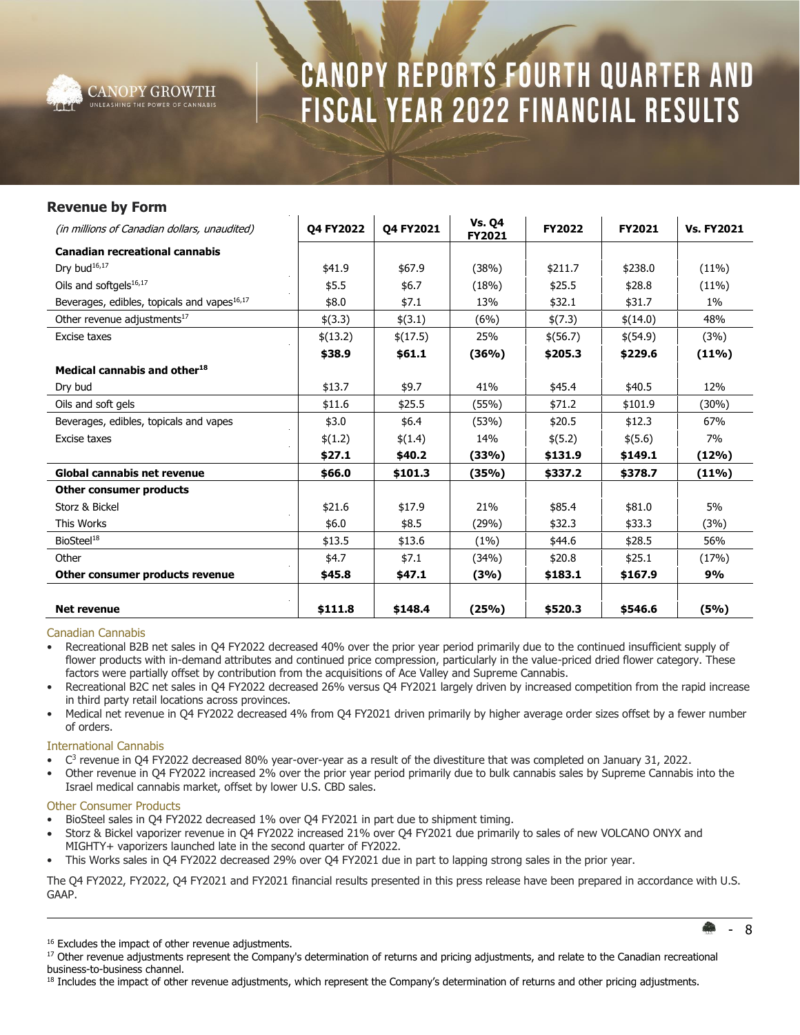

### **Revenue by Form** (in millions of Canadian dollars, unaudited) **Q4 FY2022 Q4 FY2021 Vs. Q4 FY2021 FY2022 FY2021 Vs. FY2021 Canadian recreational cannabis** Dry bud<sup>16,17</sup> | \$41.9 | \$67.9 | (38%) | \$211.7 | \$238.0 | (11%) Oils and softgels<sup>16,17</sup>  $\uparrow$  \$5.5  $\uparrow$  \$6.7 (18%) \$25.5 \$28.8 (11%) Beverages, edibles, topicals and vapes<sup>16,17</sup>  $\frac{1}{6}$  \$8.0  $\frac{1}{3}$  \$7.1  $\frac{13\%}{139}$  \$32.1  $\frac{131.7}{1\%}$  1% Other revenue adjustments<sup>17</sup>  $\frac{1}{3}$   $\frac{1}{3}$   $\frac{1}{3}$   $\frac{1}{3}$   $\frac{1}{3}$   $\frac{1}{3}$   $\frac{1}{3}$   $\frac{1}{3}$   $\frac{1}{3}$   $\frac{1}{3}$   $\frac{1}{3}$   $\frac{1}{3}$   $\frac{1}{3}$   $\frac{1}{3}$   $\frac{1}{3}$   $\frac{1}{3}$   $\frac{1}{3}$   $\frac{1}{3}$   $\frac{1}{3}$  Excise taxes \$(13.2) \$(17.5) 25% \$(56.7) \$(54.9) (3%) **\$38.9 \$61.1 (36%) \$205.3 \$229.6 (11%) Medical cannabis and other<sup>18</sup>** Dry bud \$13.7 | \$9.7 | 41% | \$45.4 | \$40.5 | 12% Oils and soft gels **but all set of the set of the set of the set of the set of the set of the set of the set of t** Beverages, edibles, topicals and vapes  $\parallel$  \$3.0  $\parallel$  \$6.4  $\parallel$  (53%)  $\parallel$  \$20.5  $\parallel$  \$12.3  $\parallel$  67% Excise taxes \$(1.2) \$(1.4) 14% \$(5.2) \$(5.6) 7% **\$27.1 \$40.2 (33%) \$131.9 \$149.1 (12%) Global cannabis net revenue \$66.0 \$101.3 (35%) \$337.2 \$378.7 (11%) Other consumer products** Storz & Bickel \$21.6 \$17.9 21% \$85.4 \$81.0 5% This Works \$6.0 \$8.5 (29%) \$32.3 \$33.3 (3%) BioSteel<sup>18</sup> \$13.5 \$13.6 (1%) \$44.6 \$28.5 56% Other \$4.7 \$7.1 (34%) \$20.8 \$25.1 (17%) **Other consumer products revenue \$45.8 \$47.1 (3%) \$183.1 \$167.9 9% Net revenue \$111.8 \$148.4 (25%) \$520.3 \$546.6 (5%)**

#### Canadian Cannabis

• Recreational B2B net sales in Q4 FY2022 decreased 40% over the prior year period primarily due to the continued insufficient supply of flower products with in-demand attributes and continued price compression, particularly in the value-priced dried flower category. These factors were partially offset by contribution from the acquisitions of Ace Valley and Supreme Cannabis.

- Recreational B2C net sales in Q4 FY2022 decreased 26% versus Q4 FY2021 largely driven by increased competition from the rapid increase in third party retail locations across provinces.
- Medical net revenue in Q4 FY2022 decreased 4% from Q4 FY2021 driven primarily by higher average order sizes offset by a fewer number of orders.

### International Cannabis

- C 3 revenue in Q4 FY2022 decreased 80% year-over-year as a result of the divestiture that was completed on January 31, 2022.
- Other revenue in Q4 FY2022 increased 2% over the prior year period primarily due to bulk cannabis sales by Supreme Cannabis into the Israel medical cannabis market, offset by lower U.S. CBD sales.

#### Other Consumer Products

- BioSteel sales in Q4 FY2022 decreased 1% over Q4 FY2021 in part due to shipment timing.
- Storz & Bickel vaporizer revenue in Q4 FY2022 increased 21% over Q4 FY2021 due primarily to sales of new VOLCANO ONYX and MIGHTY+ vaporizers launched late in the second quarter of FY2022.
- This Works sales in Q4 FY2022 decreased 29% over Q4 FY2021 due in part to lapping strong sales in the prior year.

The Q4 FY2022, FY2022, Q4 FY2021 and FY2021 financial results presented in this press release have been prepared in accordance with U.S. GAAP.

- 8

<sup>18</sup> Includes the impact of other revenue adjustments, which represent the Company's determination of returns and other pricing adjustments.

<sup>&</sup>lt;sup>16</sup> Excludes the impact of other revenue adjustments.

<sup>&</sup>lt;sup>17</sup> Other revenue adjustments represent the Company's determination of returns and pricing adjustments, and relate to the Canadian recreational business‐to‐business channel.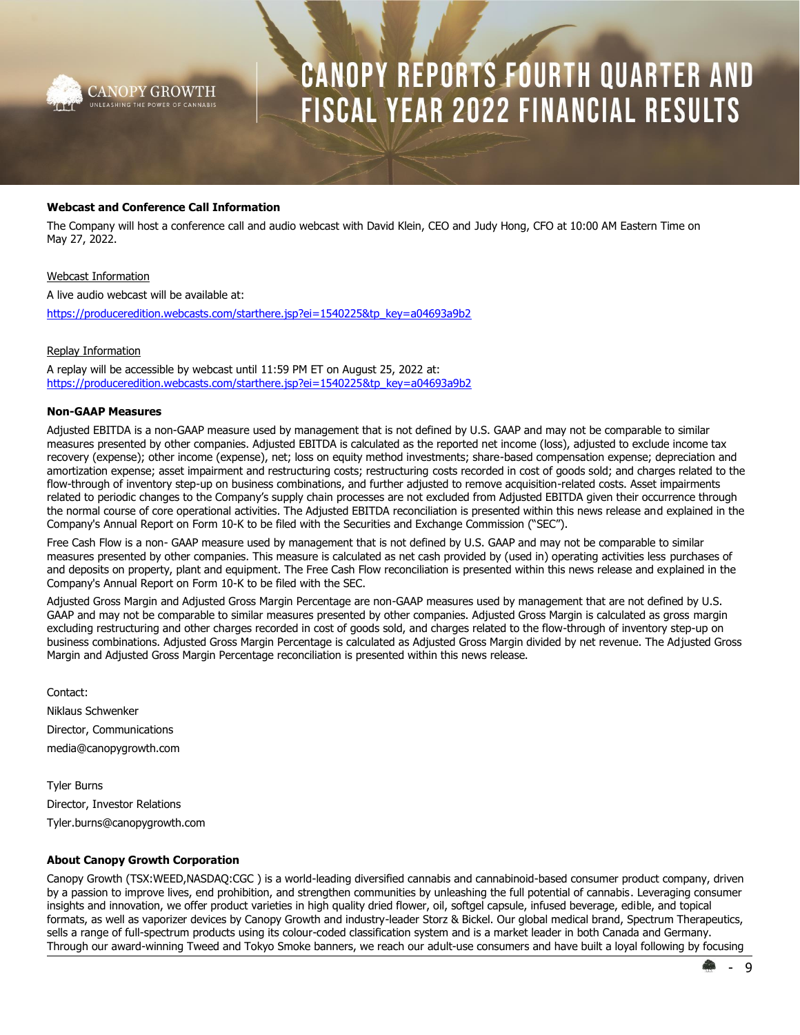

### **Webcast and Conference Call Information**

The Company will host a conference call and audio webcast with David Klein, CEO and Judy Hong, CFO at 10:00 AM Eastern Time on May 27, 2022.

#### Webcast Information

A live audio webcast will be available at:

[https://produceredition.webcasts.com/starthere.jsp?ei=1540225&tp\\_key=a04693a9b2](https://produceredition.webcasts.com/starthere.jsp?ei=1540225&tp_key=a04693a9b2)

#### Replay Information

A replay will be accessible by webcast until 11:59 PM ET on August 25, 2022 at: [https://produceredition.webcasts.com/starthere.jsp?ei=1540225&tp\\_key=a04693a9b2](https://urldefense.proofpoint.com/v2/url?u=https-3A__produceredition.webcasts.com_starthere.jsp-3Fei-3D1540225-26tp-5Fkey-3Da04693a9b2&d=DwQCaQ&c=UFQ_BMy7tXj0BMkmVOxFX4e3i90RZMjSpqUlPwQ3gLk&r=Num5SGtZP3AeaYz9_E_ayqzmlODgsNZksrzMiOCnqlI&m=CRrcZ58EuojKjQSMyfuA7gNz3SYrCz2qToQ3mwz59oT43uK8b_DdougQfvkPvJNQ&s=jMPCCK7fD2C5B-AbSV5I24FTGLf0ohnlYyMaqG3ptgs&e=)

### **Non-GAAP Measures**

Adjusted EBITDA is a non-GAAP measure used by management that is not defined by U.S. GAAP and may not be comparable to similar measures presented by other companies. Adjusted EBITDA is calculated as the reported net income (loss), adjusted to exclude income tax recovery (expense); other income (expense), net; loss on equity method investments; share-based compensation expense; depreciation and amortization expense; asset impairment and restructuring costs; restructuring costs recorded in cost of goods sold; and charges related to the flow-through of inventory step-up on business combinations, and further adjusted to remove acquisition-related costs. Asset impairments related to periodic changes to the Company's supply chain processes are not excluded from Adjusted EBITDA given their occurrence through the normal course of core operational activities. The Adjusted EBITDA reconciliation is presented within this news release and explained in the Company's Annual Report on Form 10-K to be filed with the Securities and Exchange Commission ("SEC").

Free Cash Flow is a non- GAAP measure used by management that is not defined by U.S. GAAP and may not be comparable to similar measures presented by other companies. This measure is calculated as net cash provided by (used in) operating activities less purchases of and deposits on property, plant and equipment. The Free Cash Flow reconciliation is presented within this news release and explained in the Company's Annual Report on Form 10-K to be filed with the SEC.

Adjusted Gross Margin and Adjusted Gross Margin Percentage are non-GAAP measures used by management that are not defined by U.S. GAAP and may not be comparable to similar measures presented by other companies. Adjusted Gross Margin is calculated as gross margin excluding restructuring and other charges recorded in cost of goods sold, and charges related to the flow-through of inventory step-up on business combinations. Adjusted Gross Margin Percentage is calculated as Adjusted Gross Margin divided by net revenue. The Adjusted Gross Margin and Adjusted Gross Margin Percentage reconciliation is presented within this news release.

Contact: Niklaus Schwenker Director, Communications media@canopygrowth.com

Tyler Burns Director, Investor Relations Tyler.burns@canopygrowth.com

### **About Canopy Growth Corporation**

Canopy Growth (TSX:WEED,NASDAQ:CGC ) is a world-leading diversified cannabis and cannabinoid-based consumer product company, driven by a passion to improve lives, end prohibition, and strengthen communities by unleashing the full potential of cannabis. Leveraging consumer insights and innovation, we offer product varieties in high quality dried flower, oil, softgel capsule, infused beverage, edible, and topical formats, as well as vaporizer devices by Canopy Growth and industry-leader Storz & Bickel. Our global medical brand, Spectrum Therapeutics, sells a range of full-spectrum products using its colour-coded classification system and is a market leader in both Canada and Germany. Through our award-winning Tweed and Tokyo Smoke banners, we reach our adult-use consumers and have built a loyal following by focusing

**9**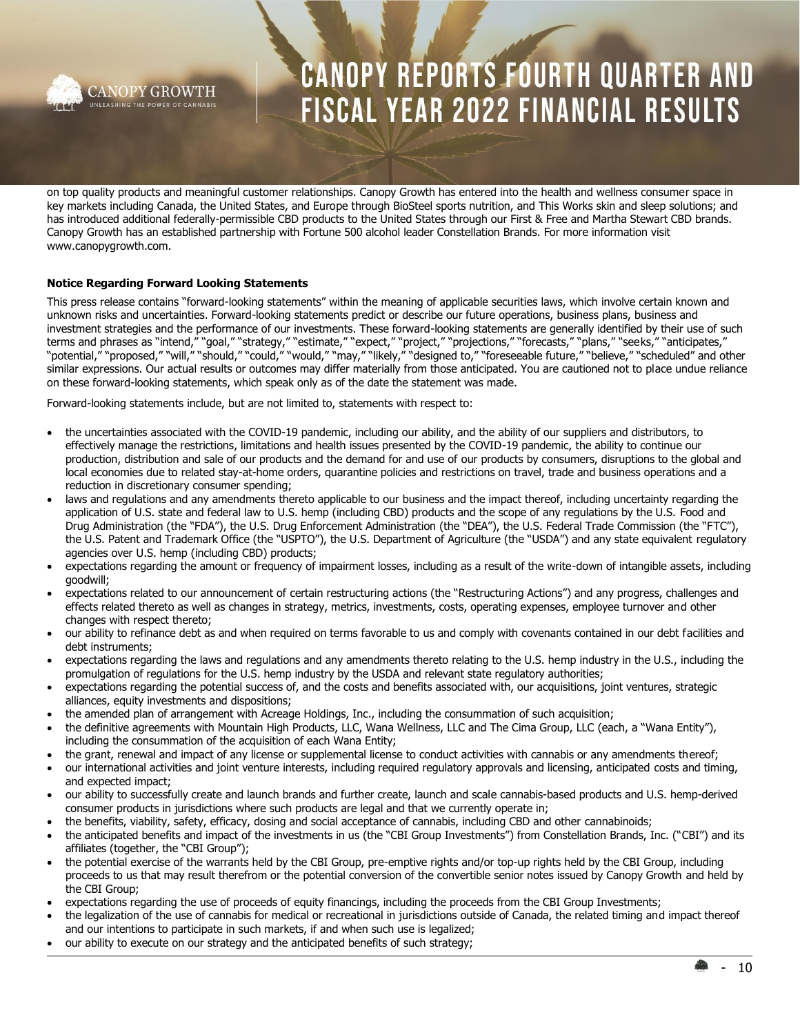

on top quality products and meaningful customer relationships. Canopy Growth has entered into the health and wellness consumer space in key markets including Canada, the United States, and Europe through BioSteel sports nutrition, and This Works skin and sleep solutions; and has introduced additional federally-permissible CBD products to the United States through our First & Free and Martha Stewart CBD brands. Canopy Growth has an established partnership with Fortune 500 alcohol leader Constellation Brands. For more information visit www.canopygrowth.com.

### **Notice Regarding Forward Looking Statements**

This press release contains "forward-looking statements" within the meaning of applicable securities laws, which involve certain known and unknown risks and uncertainties. Forward-looking statements predict or describe our future operations, business plans, business and investment strategies and the performance of our investments. These forward-looking statements are generally identified by their use of such terms and phrases as "intend," "goal," "strategy," "estimate," "expect," "project," "projections," "forecasts," "plans," "seeks," "anticipates," "potential," "proposed," "will," "should," "could," "would," "may," "likely," "designed to," "foreseeable future," "believe," "scheduled" and other similar expressions. Our actual results or outcomes may differ materially from those anticipated. You are cautioned not to place undue reliance on these forward-looking statements, which speak only as of the date the statement was made.

Forward-looking statements include, but are not limited to, statements with respect to:

- the uncertainties associated with the COVID-19 pandemic, including our ability, and the ability of our suppliers and distributors, to effectively manage the restrictions, limitations and health issues presented by the COVID-19 pandemic, the ability to continue our production, distribution and sale of our products and the demand for and use of our products by consumers, disruptions to the global and local economies due to related stay-at-home orders, quarantine policies and restrictions on travel, trade and business operations and a reduction in discretionary consumer spending;
- laws and regulations and any amendments thereto applicable to our business and the impact thereof, including uncertainty regarding the application of U.S. state and federal law to U.S. hemp (including CBD) products and the scope of any regulations by the U.S. Food and Drug Administration (the "FDA"), the U.S. Drug Enforcement Administration (the "DEA"), the U.S. Federal Trade Commission (the "FTC"), the U.S. Patent and Trademark Office (the "USPTO"), the U.S. Department of Agriculture (the "USDA") and any state equivalent regulatory agencies over U.S. hemp (including CBD) products;
- expectations regarding the amount or frequency of impairment losses, including as a result of the write-down of intangible assets, including goodwill;
- expectations related to our announcement of certain restructuring actions (the "Restructuring Actions") and any progress, challenges and effects related thereto as well as changes in strategy, metrics, investments, costs, operating expenses, employee turnover and other changes with respect thereto;
- our ability to refinance debt as and when required on terms favorable to us and comply with covenants contained in our debt facilities and debt instruments;
- expectations regarding the laws and regulations and any amendments thereto relating to the U.S. hemp industry in the U.S., including the promulgation of regulations for the U.S. hemp industry by the USDA and relevant state regulatory authorities;
- expectations regarding the potential success of, and the costs and benefits associated with, our acquisitions, joint ventures, strategic alliances, equity investments and dispositions;
- the amended plan of arrangement with Acreage Holdings, Inc., including the consummation of such acquisition;
- the definitive agreements with Mountain High Products, LLC, Wana Wellness, LLC and The Cima Group, LLC (each, a "Wana Entity"), including the consummation of the acquisition of each Wana Entity;
- the grant, renewal and impact of any license or supplemental license to conduct activities with cannabis or any amendments thereof;
- our international activities and joint venture interests, including required regulatory approvals and licensing, anticipated costs and timing, and expected impact;
- our ability to successfully create and launch brands and further create, launch and scale cannabis-based products and U.S. hemp-derived consumer products in jurisdictions where such products are legal and that we currently operate in;
- the benefits, viability, safety, efficacy, dosing and social acceptance of cannabis, including CBD and other cannabinoids;
- the anticipated benefits and impact of the investments in us (the "CBI Group Investments") from Constellation Brands, Inc. ("CBI") and its affiliates (together, the "CBI Group");
- the potential exercise of the warrants held by the CBI Group, pre-emptive rights and/or top-up rights held by the CBI Group, including proceeds to us that may result therefrom or the potential conversion of the convertible senior notes issued by Canopy Growth and held by the CBI Group;
- expectations regarding the use of proceeds of equity financings, including the proceeds from the CBI Group Investments;
- the legalization of the use of cannabis for medical or recreational in jurisdictions outside of Canada, the related timing and impact thereof and our intentions to participate in such markets, if and when such use is legalized;
- our ability to execute on our strategy and the anticipated benefits of such strategy;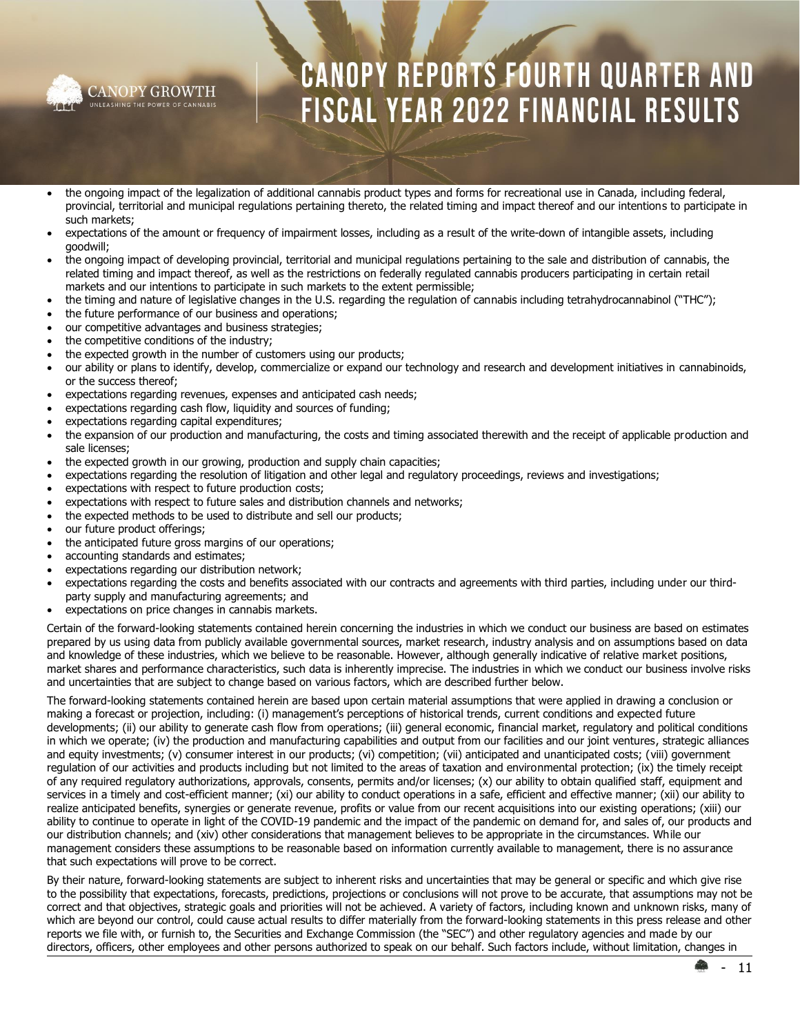

- the ongoing impact of the legalization of additional cannabis product types and forms for recreational use in Canada, including federal, provincial, territorial and municipal regulations pertaining thereto, the related timing and impact thereof and our intentions to participate in such markets;
- expectations of the amount or frequency of impairment losses, including as a result of the write-down of intangible assets, including goodwill;
- the ongoing impact of developing provincial, territorial and municipal regulations pertaining to the sale and distribution of cannabis, the related timing and impact thereof, as well as the restrictions on federally regulated cannabis producers participating in certain retail markets and our intentions to participate in such markets to the extent permissible;
- the timing and nature of legislative changes in the U.S. regarding the regulation of cannabis including tetrahydrocannabinol ("THC");
- the future performance of our business and operations;
- our competitive advantages and business strategies;
- the competitive conditions of the industry;
- the expected growth in the number of customers using our products;
- our ability or plans to identify, develop, commercialize or expand our technology and research and development initiatives in cannabinoids, or the success thereof;
- expectations regarding revenues, expenses and anticipated cash needs;
- expectations regarding cash flow, liquidity and sources of funding;
- expectations regarding capital expenditures;
- the expansion of our production and manufacturing, the costs and timing associated therewith and the receipt of applicable production and sale licenses;
- the expected growth in our growing, production and supply chain capacities;
- expectations regarding the resolution of litigation and other legal and regulatory proceedings, reviews and investigations;
- expectations with respect to future production costs;
- expectations with respect to future sales and distribution channels and networks;
- the expected methods to be used to distribute and sell our products;
- our future product offerings;
- the anticipated future gross margins of our operations;
- accounting standards and estimates;
- expectations regarding our distribution network;
- expectations regarding the costs and benefits associated with our contracts and agreements with third parties, including under our thirdparty supply and manufacturing agreements; and
- expectations on price changes in cannabis markets.

Certain of the forward-looking statements contained herein concerning the industries in which we conduct our business are based on estimates prepared by us using data from publicly available governmental sources, market research, industry analysis and on assumptions based on data and knowledge of these industries, which we believe to be reasonable. However, although generally indicative of relative market positions, market shares and performance characteristics, such data is inherently imprecise. The industries in which we conduct our business involve risks and uncertainties that are subject to change based on various factors, which are described further below.

The forward-looking statements contained herein are based upon certain material assumptions that were applied in drawing a conclusion or making a forecast or projection, including: (i) management's perceptions of historical trends, current conditions and expected future developments; (ii) our ability to generate cash flow from operations; (iii) general economic, financial market, regulatory and political conditions in which we operate; (iv) the production and manufacturing capabilities and output from our facilities and our joint ventures, strategic alliances and equity investments; (v) consumer interest in our products; (vi) competition; (vii) anticipated and unanticipated costs; (viii) government regulation of our activities and products including but not limited to the areas of taxation and environmental protection; (ix) the timely receipt of any required regulatory authorizations, approvals, consents, permits and/or licenses; (x) our ability to obtain qualified staff, equipment and services in a timely and cost-efficient manner; (xi) our ability to conduct operations in a safe, efficient and effective manner; (xii) our ability to realize anticipated benefits, synergies or generate revenue, profits or value from our recent acquisitions into our existing operations; (xiii) our ability to continue to operate in light of the COVID-19 pandemic and the impact of the pandemic on demand for, and sales of, our products and our distribution channels; and (xiv) other considerations that management believes to be appropriate in the circumstances. While our management considers these assumptions to be reasonable based on information currently available to management, there is no assurance that such expectations will prove to be correct.

By their nature, forward-looking statements are subject to inherent risks and uncertainties that may be general or specific and which give rise to the possibility that expectations, forecasts, predictions, projections or conclusions will not prove to be accurate, that assumptions may not be correct and that objectives, strategic goals and priorities will not be achieved. A variety of factors, including known and unknown risks, many of which are beyond our control, could cause actual results to differ materially from the forward-looking statements in this press release and other reports we file with, or furnish to, the Securities and Exchange Commission (the "SEC") and other regulatory agencies and made by our directors, officers, other employees and other persons authorized to speak on our behalf. Such factors include, without limitation, changes in

- 11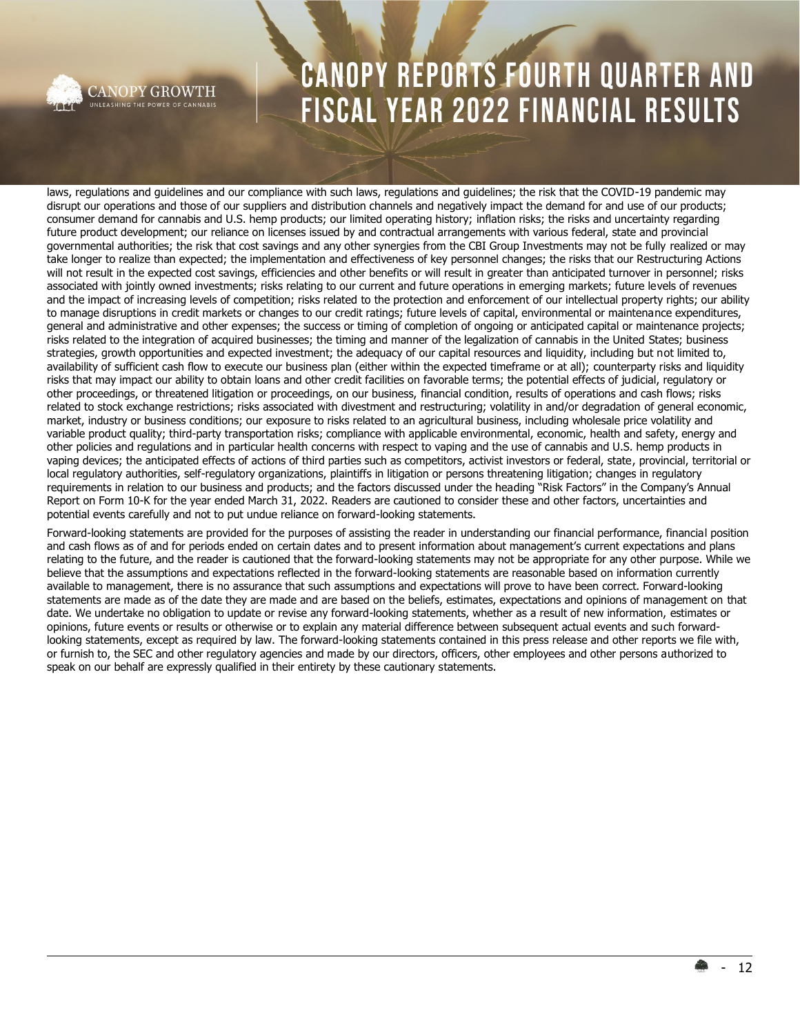

**CANOPY GROWTH** UNLEASHING THE POWER OF CANNABIS

# **CANOPY REPORTS FOURTH QUARTER AND** FISCAL YEAR 2022 FINANCIAL RESULTS

laws, regulations and guidelines and our compliance with such laws, regulations and guidelines; the risk that the COVID-19 pandemic may disrupt our operations and those of our suppliers and distribution channels and negatively impact the demand for and use of our products; consumer demand for cannabis and U.S. hemp products; our limited operating history; inflation risks; the risks and uncertainty regarding future product development; our reliance on licenses issued by and contractual arrangements with various federal, state and provincial governmental authorities; the risk that cost savings and any other synergies from the CBI Group Investments may not be fully realized or may take longer to realize than expected; the implementation and effectiveness of key personnel changes; the risks that our Restructuring Actions will not result in the expected cost savings, efficiencies and other benefits or will result in greater than anticipated turnover in personnel; risks associated with jointly owned investments; risks relating to our current and future operations in emerging markets; future levels of revenues and the impact of increasing levels of competition; risks related to the protection and enforcement of our intellectual property rights; our ability to manage disruptions in credit markets or changes to our credit ratings; future levels of capital, environmental or maintenance expenditures, general and administrative and other expenses; the success or timing of completion of ongoing or anticipated capital or maintenance projects; risks related to the integration of acquired businesses; the timing and manner of the legalization of cannabis in the United States; business strategies, growth opportunities and expected investment; the adequacy of our capital resources and liquidity, including but not limited to, availability of sufficient cash flow to execute our business plan (either within the expected timeframe or at all); counterparty risks and liquidity risks that may impact our ability to obtain loans and other credit facilities on favorable terms; the potential effects of judicial, regulatory or other proceedings, or threatened litigation or proceedings, on our business, financial condition, results of operations and cash flows; risks related to stock exchange restrictions; risks associated with divestment and restructuring; volatility in and/or degradation of general economic, market, industry or business conditions; our exposure to risks related to an agricultural business, including wholesale price volatility and variable product quality; third-party transportation risks; compliance with applicable environmental, economic, health and safety, energy and other policies and regulations and in particular health concerns with respect to vaping and the use of cannabis and U.S. hemp products in vaping devices; the anticipated effects of actions of third parties such as competitors, activist investors or federal, state, provincial, territorial or local regulatory authorities, self-regulatory organizations, plaintiffs in litigation or persons threatening litigation; changes in regulatory requirements in relation to our business and products; and the factors discussed under the heading "Risk Factors" in the Company's Annual Report on Form 10-K for the year ended March 31, 2022. Readers are cautioned to consider these and other factors, uncertainties and potential events carefully and not to put undue reliance on forward-looking statements.

Forward-looking statements are provided for the purposes of assisting the reader in understanding our financial performance, financial position and cash flows as of and for periods ended on certain dates and to present information about management's current expectations and plans relating to the future, and the reader is cautioned that the forward-looking statements may not be appropriate for any other purpose. While we believe that the assumptions and expectations reflected in the forward-looking statements are reasonable based on information currently available to management, there is no assurance that such assumptions and expectations will prove to have been correct. Forward-looking statements are made as of the date they are made and are based on the beliefs, estimates, expectations and opinions of management on that date. We undertake no obligation to update or revise any forward-looking statements, whether as a result of new information, estimates or opinions, future events or results or otherwise or to explain any material difference between subsequent actual events and such forwardlooking statements, except as required by law. The forward-looking statements contained in this press release and other reports we file with, or furnish to, the SEC and other regulatory agencies and made by our directors, officers, other employees and other persons authorized to speak on our behalf are expressly qualified in their entirety by these cautionary statements.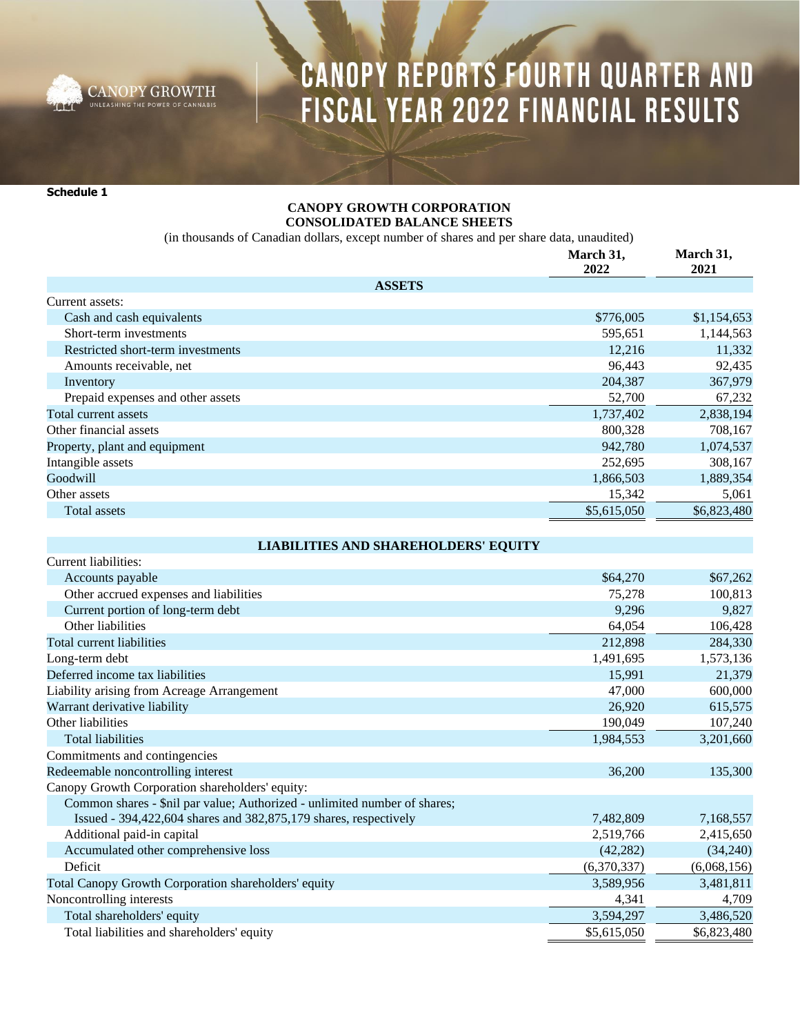

**Schedule 1**

### **CANOPY GROWTH CORPORATION CONSOLIDATED BALANCE SHEETS**

(in thousands of Canadian dollars, except number of shares and per share data, unaudited)

|                                   | March 31,<br>2022 | March 31,<br>2021 |
|-----------------------------------|-------------------|-------------------|
| <b>ASSETS</b>                     |                   |                   |
| Current assets:                   |                   |                   |
| Cash and cash equivalents         | \$776,005         | \$1,154,653       |
| Short-term investments            | 595,651           | 1,144,563         |
| Restricted short-term investments | 12,216            | 11,332            |
| Amounts receivable, net           | 96,443            | 92,435            |
| Inventory                         | 204,387           | 367,979           |
| Prepaid expenses and other assets | 52,700            | 67,232            |
| Total current assets              | 1,737,402         | 2,838,194         |
| Other financial assets            | 800.328           | 708,167           |
| Property, plant and equipment     | 942,780           | 1,074,537         |
| Intangible assets                 | 252,695           | 308,167           |
| Goodwill                          | 1,866,503         | 1,889,354         |
| Other assets                      | 15,342            | 5,061             |
| Total assets                      | \$5,615,050       | \$6,823,480       |

**LIABILITIES AND SHAREHOLDERS' EQUITY**

| LIABILITIES AND SHAKEHOLDEKS EQUITI                                       |             |             |
|---------------------------------------------------------------------------|-------------|-------------|
| Current liabilities:                                                      |             |             |
| Accounts payable                                                          | \$64,270    | \$67,262    |
| Other accrued expenses and liabilities                                    | 75,278      | 100,813     |
| Current portion of long-term debt                                         | 9,296       | 9,827       |
| Other liabilities                                                         | 64,054      | 106,428     |
| Total current liabilities                                                 | 212,898     | 284,330     |
| Long-term debt                                                            | 1,491,695   | 1,573,136   |
| Deferred income tax liabilities                                           | 15,991      | 21,379      |
| Liability arising from Acreage Arrangement                                | 47,000      | 600,000     |
| Warrant derivative liability                                              | 26,920      | 615,575     |
| Other liabilities                                                         | 190,049     | 107,240     |
| <b>Total liabilities</b>                                                  | 1,984,553   | 3,201,660   |
| Commitments and contingencies                                             |             |             |
| Redeemable noncontrolling interest                                        | 36,200      | 135,300     |
| Canopy Growth Corporation shareholders' equity:                           |             |             |
| Common shares - \$nil par value; Authorized - unlimited number of shares; |             |             |
| Issued - 394,422,604 shares and 382,875,179 shares, respectively          | 7,482,809   | 7,168,557   |
| Additional paid-in capital                                                | 2,519,766   | 2,415,650   |
| Accumulated other comprehensive loss                                      | (42, 282)   | (34,240)    |
| Deficit                                                                   | (6,370,337) | (6,068,156) |
| Total Canopy Growth Corporation shareholders' equity                      | 3,589,956   | 3,481,811   |
| Noncontrolling interests                                                  | 4,341       | 4,709       |
| Total shareholders' equity                                                | 3,594,297   | 3,486,520   |
| Total liabilities and shareholders' equity                                | \$5,615,050 | \$6,823,480 |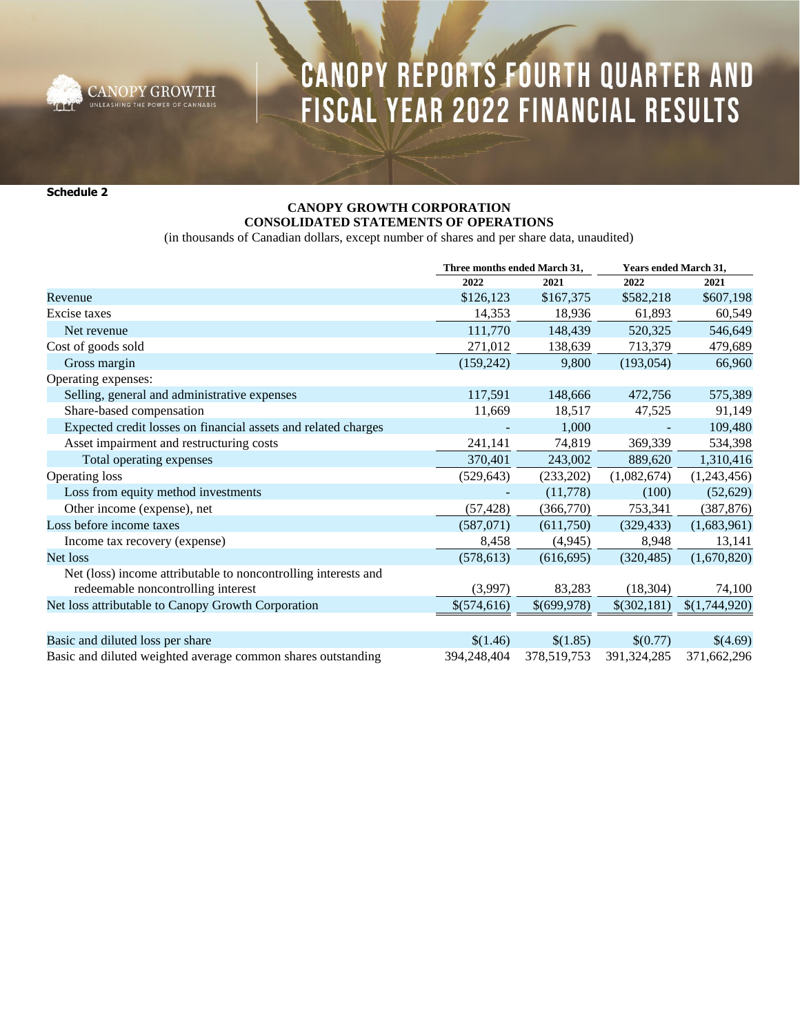

**Schedule 2**

### **CANOPY GROWTH CORPORATION CONSOLIDATED STATEMENTS OF OPERATIONS**

(in thousands of Canadian dollars, except number of shares and per share data, unaudited)

|                                                                | Three months ended March 31, |             | Years ended March 31, |               |
|----------------------------------------------------------------|------------------------------|-------------|-----------------------|---------------|
|                                                                | 2022                         | 2021        | 2022                  | 2021          |
| Revenue                                                        | \$126,123                    | \$167,375   | \$582,218             | \$607,198     |
| Excise taxes                                                   | 14,353                       | 18,936      | 61,893                | 60,549        |
| Net revenue                                                    | 111,770                      | 148,439     | 520,325               | 546,649       |
| Cost of goods sold                                             | 271,012                      | 138,639     | 713,379               | 479,689       |
| Gross margin                                                   | (159, 242)                   | 9,800       | (193, 054)            | 66,960        |
| Operating expenses:                                            |                              |             |                       |               |
| Selling, general and administrative expenses                   | 117,591                      | 148,666     | 472,756               | 575,389       |
| Share-based compensation                                       | 11,669                       | 18,517      | 47,525                | 91,149        |
| Expected credit losses on financial assets and related charges |                              | 1,000       |                       | 109,480       |
| Asset impairment and restructuring costs                       | 241,141                      | 74,819      | 369,339               | 534,398       |
| Total operating expenses                                       | 370,401                      | 243,002     | 889,620               | 1,310,416     |
| Operating loss                                                 | (529, 643)                   | (233,202)   | (1,082,674)           | (1,243,456)   |
| Loss from equity method investments                            |                              | (11,778)    | (100)                 | (52,629)      |
| Other income (expense), net                                    | (57, 428)                    | (366,770)   | 753,341               | (387, 876)    |
| Loss before income taxes                                       | (587,071)                    | (611,750)   | (329, 433)            | (1,683,961)   |
| Income tax recovery (expense)                                  | 8,458                        | (4, 945)    | 8,948                 | 13,141        |
| Net loss                                                       | (578, 613)                   | (616, 695)  | (320, 485)            | (1,670,820)   |
| Net (loss) income attributable to noncontrolling interests and |                              |             |                       |               |
| redeemable noncontrolling interest                             | (3,997)                      | 83,283      | (18, 304)             | 74,100        |
| Net loss attributable to Canopy Growth Corporation             | \$(574,616)                  | \$(699,978) | \$(302,181)           | \$(1,744,920) |
|                                                                |                              |             |                       |               |
| Basic and diluted loss per share                               | \$(1.46)                     | \$(1.85)    | \$(0.77)              | \$(4.69)      |
| Basic and diluted weighted average common shares outstanding   | 394,248,404                  | 378,519,753 | 391,324,285           | 371,662,296   |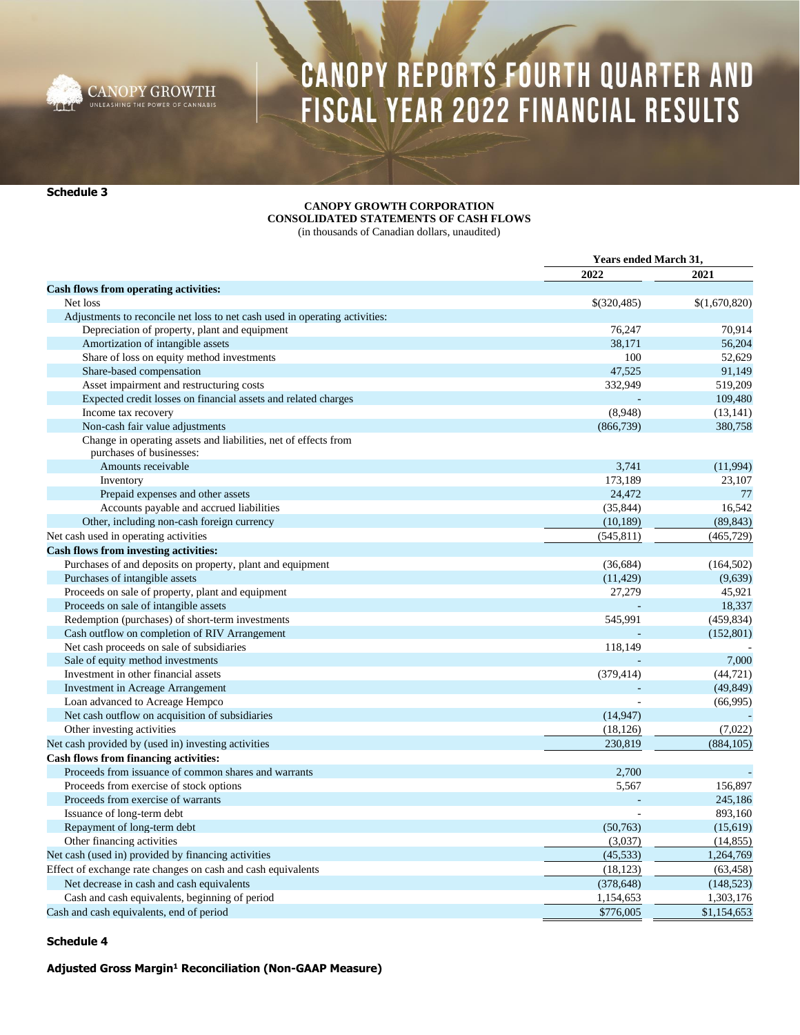

**Schedule 3**

#### **CANOPY GROWTH CORPORATION CONSOLIDATED STATEMENTS OF CASH FLOWS**

(in thousands of Canadian dollars, unaudited)

|                                                                             | <b>Years ended March 31,</b> |               |
|-----------------------------------------------------------------------------|------------------------------|---------------|
|                                                                             | 2022                         | 2021          |
| Cash flows from operating activities:                                       |                              |               |
| Net loss                                                                    | \$(320,485)                  | \$(1,670,820) |
| Adjustments to reconcile net loss to net cash used in operating activities: |                              |               |
| Depreciation of property, plant and equipment                               | 76,247                       | 70.914        |
| Amortization of intangible assets                                           | 38,171                       | 56,204        |
| Share of loss on equity method investments                                  | 100                          | 52,629        |
| Share-based compensation                                                    | 47,525                       | 91,149        |
| Asset impairment and restructuring costs                                    | 332,949                      | 519,209       |
| Expected credit losses on financial assets and related charges              |                              | 109,480       |
| Income tax recovery                                                         | (8,948)                      | (13, 141)     |
| Non-cash fair value adjustments                                             | (866, 739)                   | 380,758       |
| Change in operating assets and liabilities, net of effects from             |                              |               |
| purchases of businesses:                                                    |                              |               |
| Amounts receivable                                                          | 3,741                        | (11,994)      |
| Inventory                                                                   | 173,189                      | 23,107        |
| Prepaid expenses and other assets                                           | 24,472                       | 77            |
| Accounts payable and accrued liabilities                                    | (35, 844)                    | 16,542        |
| Other, including non-cash foreign currency                                  | (10, 189)                    | (89, 843)     |
| Net cash used in operating activities                                       | (545, 811)                   | (465, 729)    |
| <b>Cash flows from investing activities:</b>                                |                              |               |
| Purchases of and deposits on property, plant and equipment                  | (36, 684)                    | (164, 502)    |
| Purchases of intangible assets                                              | (11, 429)                    | (9,639)       |
| Proceeds on sale of property, plant and equipment                           | 27,279                       | 45,921        |
| Proceeds on sale of intangible assets                                       |                              | 18,337        |
| Redemption (purchases) of short-term investments                            | 545,991                      | (459, 834)    |
| Cash outflow on completion of RIV Arrangement                               |                              | (152,801)     |
| Net cash proceeds on sale of subsidiaries                                   | 118,149                      |               |
| Sale of equity method investments                                           |                              | 7,000         |
| Investment in other financial assets                                        | (379, 414)                   | (44, 721)     |
| <b>Investment in Acreage Arrangement</b>                                    |                              | (49, 849)     |
| Loan advanced to Acreage Hempco                                             |                              | (66,995)      |
| Net cash outflow on acquisition of subsidiaries                             | (14, 947)                    |               |
| Other investing activities                                                  | (18, 126)                    | (7,022)       |
| Net cash provided by (used in) investing activities                         | 230,819                      | (884, 105)    |
| <b>Cash flows from financing activities:</b>                                |                              |               |
| Proceeds from issuance of common shares and warrants                        | 2,700                        |               |
| Proceeds from exercise of stock options                                     | 5,567                        | 156,897       |
| Proceeds from exercise of warrants                                          |                              | 245,186       |
| Issuance of long-term debt                                                  |                              | 893,160       |
| Repayment of long-term debt                                                 | (50,763)                     | (15,619)      |
| Other financing activities                                                  | (3,037)                      | (14, 855)     |
| Net cash (used in) provided by financing activities                         | (45, 533)                    | 1,264,769     |
| Effect of exchange rate changes on cash and cash equivalents                | (18, 123)                    | (63, 458)     |
| Net decrease in cash and cash equivalents                                   | (378, 648)                   | (148, 523)    |
| Cash and cash equivalents, beginning of period                              | 1,154,653                    | 1,303,176     |
| Cash and cash equivalents, end of period                                    | \$776,005                    | \$1,154,653   |

### **Schedule 4**

**Adjusted Gross Margin<sup>1</sup> Reconciliation (Non-GAAP Measure)**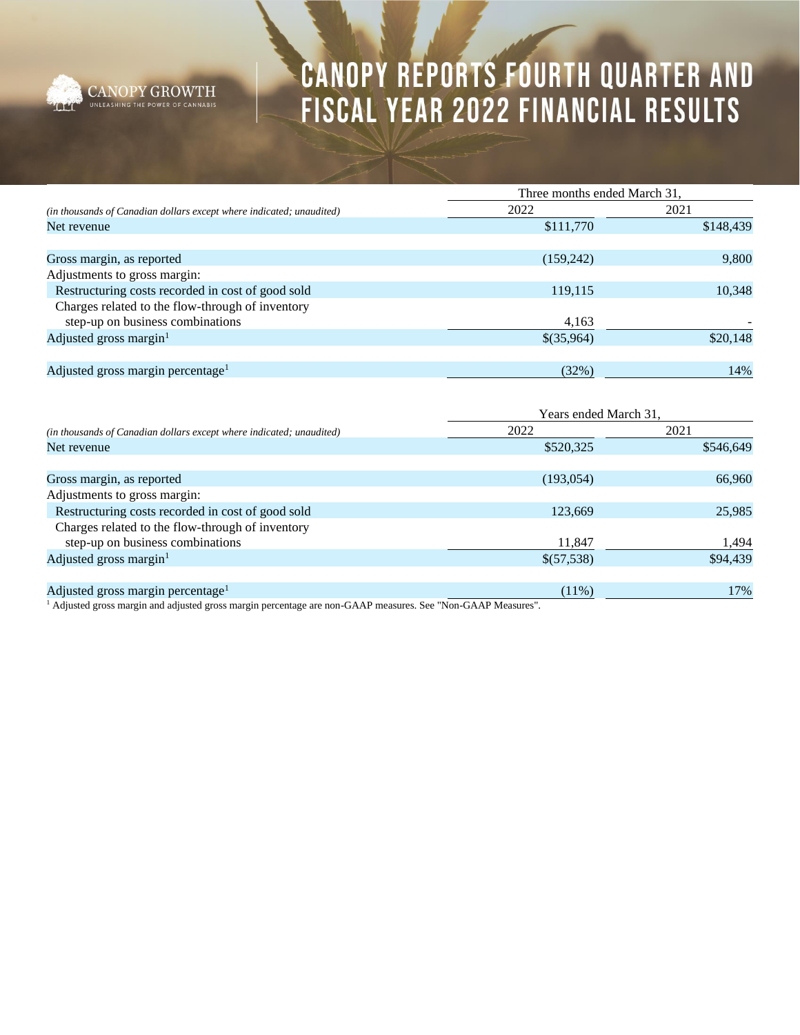

|                                                                      | Three months ended March 31, |           |  |  |
|----------------------------------------------------------------------|------------------------------|-----------|--|--|
| (in thousands of Canadian dollars except where indicated; unaudited) | 2022                         | 2021      |  |  |
| Net revenue                                                          | \$111,770                    | \$148,439 |  |  |
|                                                                      |                              |           |  |  |
| Gross margin, as reported                                            | (159,242)                    | 9,800     |  |  |
| Adjustments to gross margin:                                         |                              |           |  |  |
| Restructuring costs recorded in cost of good sold                    | 119,115                      | 10,348    |  |  |
| Charges related to the flow-through of inventory                     |                              |           |  |  |
| step-up on business combinations                                     | 4,163                        |           |  |  |
| Adjusted gross margin <sup>1</sup>                                   | \$(35,964)                   | \$20,148  |  |  |
|                                                                      |                              |           |  |  |
| Adjusted gross margin percentage <sup>1</sup>                        | (32%)                        | 14%       |  |  |

|                                                                      | Years ended March 31, |           |  |  |
|----------------------------------------------------------------------|-----------------------|-----------|--|--|
| (in thousands of Canadian dollars except where indicated; unaudited) | 2022                  | 2021      |  |  |
| Net revenue                                                          | \$520,325             | \$546,649 |  |  |
|                                                                      |                       |           |  |  |
| Gross margin, as reported                                            | (193, 054)            | 66,960    |  |  |
| Adjustments to gross margin:                                         |                       |           |  |  |
| Restructuring costs recorded in cost of good sold                    | 123,669               | 25,985    |  |  |
| Charges related to the flow-through of inventory                     |                       |           |  |  |
| step-up on business combinations                                     | 11,847                | 1,494     |  |  |
| Adjusted gross margin $1$                                            | \$(57,538)            | \$94,439  |  |  |
|                                                                      |                       |           |  |  |
| Adjusted gross margin percentage <sup>1</sup>                        | $(11\%)$              | 17%       |  |  |

<sup>1</sup> Adjusted gross margin and adjusted gross margin percentage are non-GAAP measures. See "Non-GAAP Measures".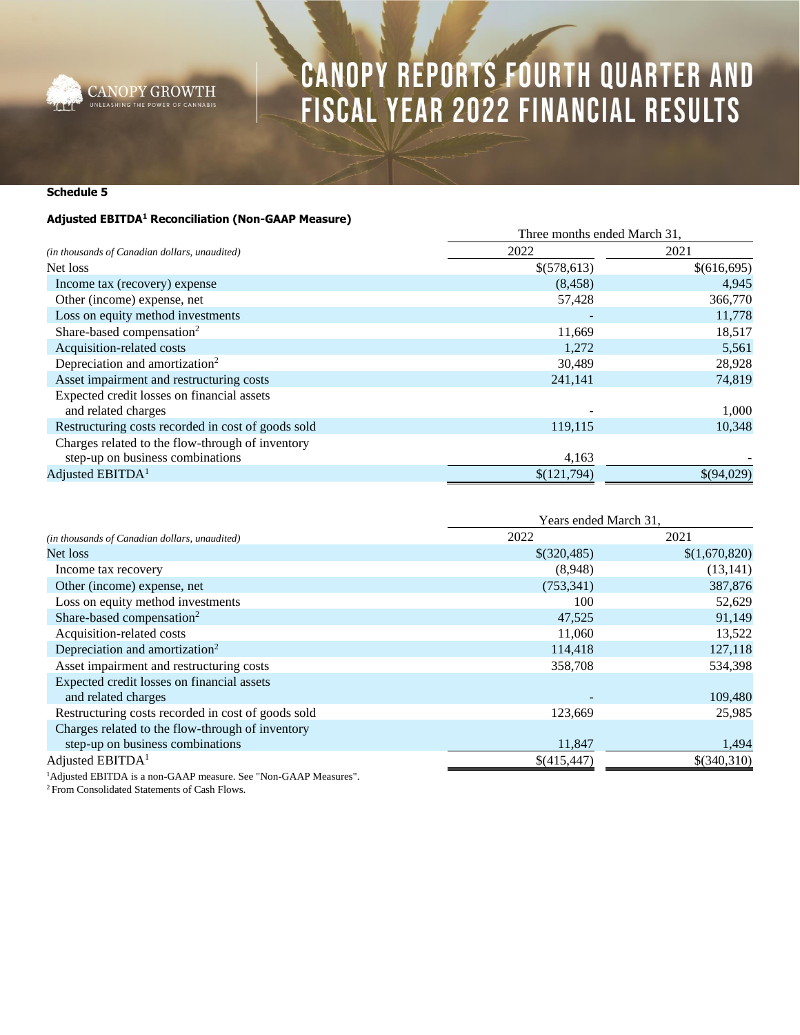

### **Schedule 5**

### **Adjusted EBITDA<sup>1</sup> Reconciliation (Non-GAAP Measure)**

|                                                    | Three months ended March 31, |             |  |
|----------------------------------------------------|------------------------------|-------------|--|
| (in thousands of Canadian dollars, unaudited)      | 2022                         | 2021        |  |
| Net loss                                           | \$(578,613)                  | \$(616,695) |  |
| Income tax (recovery) expense                      | (8, 458)                     | 4,945       |  |
| Other (income) expense, net                        | 57,428                       | 366,770     |  |
| Loss on equity method investments                  |                              | 11,778      |  |
| Share-based compensation <sup>2</sup>              | 11,669                       | 18,517      |  |
| Acquisition-related costs                          | 1,272                        | 5,561       |  |
| Depreciation and amortization <sup>2</sup>         | 30,489                       | 28,928      |  |
| Asset impairment and restructuring costs           | 241,141                      | 74,819      |  |
| Expected credit losses on financial assets         |                              |             |  |
| and related charges                                |                              | 1,000       |  |
| Restructuring costs recorded in cost of goods sold | 119,115                      | 10,348      |  |
| Charges related to the flow-through of inventory   |                              |             |  |
| step-up on business combinations                   | 4,163                        |             |  |
| Adjusted EBITDA <sup>1</sup>                       | \$(121,794)                  | \$(94,029)  |  |

|                                                    | Years ended March 31. |               |
|----------------------------------------------------|-----------------------|---------------|
| (in thousands of Canadian dollars, unaudited)      | 2022                  | 2021          |
| Net loss                                           | \$(320,485)           | \$(1,670,820) |
| Income tax recovery                                | (8,948)               | (13, 141)     |
| Other (income) expense, net                        | (753, 341)            | 387,876       |
| Loss on equity method investments                  | 100                   | 52,629        |
| Share-based compensation <sup>2</sup>              | 47,525                | 91,149        |
| Acquisition-related costs                          | 11,060                | 13,522        |
| Depreciation and amortization <sup>2</sup>         | 114,418               | 127,118       |
| Asset impairment and restructuring costs           | 358,708               | 534,398       |
| Expected credit losses on financial assets         |                       |               |
| and related charges                                |                       | 109,480       |
| Restructuring costs recorded in cost of goods sold | 123,669               | 25,985        |
| Charges related to the flow-through of inventory   |                       |               |
| step-up on business combinations                   | 11,847                | 1,494         |
| Adjusted $EBITDA1$                                 | \$(415,447)           | \$(340,310)   |

<sup>1</sup>Adjusted EBITDA is a non-GAAP measure. See "Non-GAAP Measures".

<sup>2</sup> From Consolidated Statements of Cash Flows.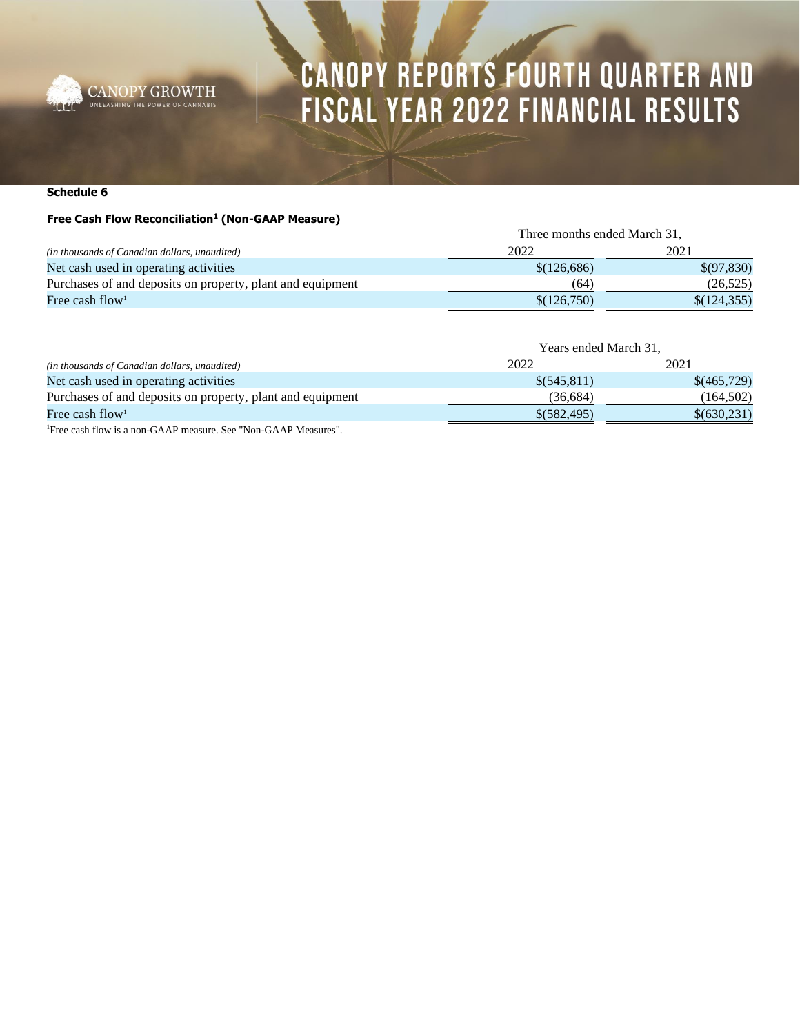

#### **Schedule 6**

#### **Free Cash Flow Reconciliation<sup>1</sup> (Non-GAAP Measure)**

|                                                            |             | Three months ended March 31, |  |  |
|------------------------------------------------------------|-------------|------------------------------|--|--|
| (in thousands of Canadian dollars, unaudited)              | 2022        | 2021                         |  |  |
| Net cash used in operating activities                      | \$(126,686) | \$(97,830)                   |  |  |
| Purchases of and deposits on property, plant and equipment | (64)        | (26, 525)                    |  |  |
| Free cash flow <sup>1</sup>                                | \$(126,750) | \$(124,355)                  |  |  |

| (in thousands of Canadian dollars, unaudited)                           | Years ended March 31. |             |
|-------------------------------------------------------------------------|-----------------------|-------------|
|                                                                         | 2022                  | 2021        |
| Net cash used in operating activities                                   | $\$(545,811)$         | \$(465,729) |
| Purchases of and deposits on property, plant and equipment              | (36.684)              | (164,502)   |
| Free cash flow <sup>1</sup>                                             | \$(582,495)           | \$(630,231) |
| $\sim$ $\sim$ $\sim$ $\sim$ $\sim$ $\sim$ $\sim$<br>$\sim \cdot$ $\sim$ |                       |             |

1Free cash flow is a non-GAAP measure. See "Non-GAAP Measures".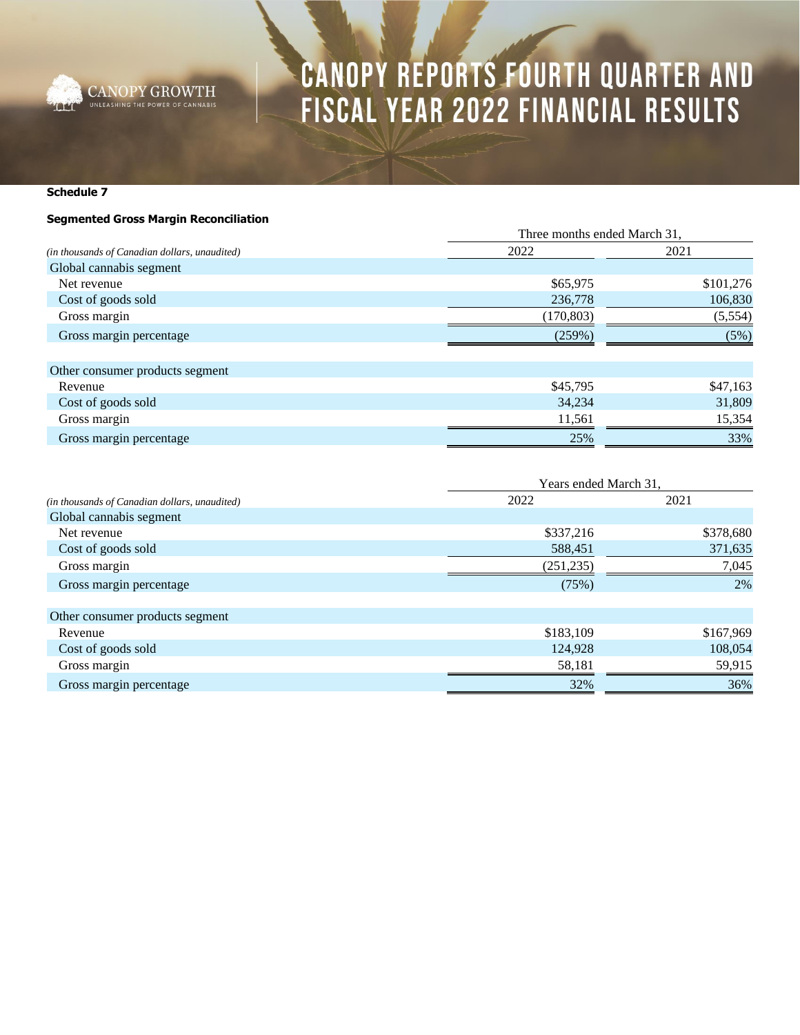

**Schedule 7**

### **Segmented Gross Margin Reconciliation**

|                                               | Three months ended March 31, |           |
|-----------------------------------------------|------------------------------|-----------|
| (in thousands of Canadian dollars, unaudited) | 2022                         | 2021      |
| Global cannabis segment                       |                              |           |
| Net revenue                                   | \$65,975                     | \$101,276 |
| Cost of goods sold                            | 236,778                      | 106,830   |
| Gross margin                                  | (170, 803)                   | (5,554)   |
| Gross margin percentage                       | (259%)                       | (5%)      |
| Other consumer products segment               |                              |           |
| Revenue                                       | \$45,795                     | \$47,163  |
| Cost of goods sold                            | 34,234                       | 31,809    |
| Gross margin                                  | 11,561                       | 15,354    |
| Gross margin percentage                       | 25%                          | 33%       |

|                                               | Years ended March 31, |           |
|-----------------------------------------------|-----------------------|-----------|
| (in thousands of Canadian dollars, unaudited) | 2022                  | 2021      |
| Global cannabis segment                       |                       |           |
| Net revenue                                   | \$337,216             | \$378,680 |
| Cost of goods sold                            | 588,451               | 371,635   |
| Gross margin                                  | (251, 235)            | 7,045     |
| Gross margin percentage                       | (75%)                 | 2%        |
| Other consumer products segment               |                       |           |
| Revenue                                       | \$183,109             | \$167,969 |
| Cost of goods sold                            | 124,928               | 108,054   |
| Gross margin                                  | 58,181                | 59,915    |
| Gross margin percentage                       | 32%                   | 36%       |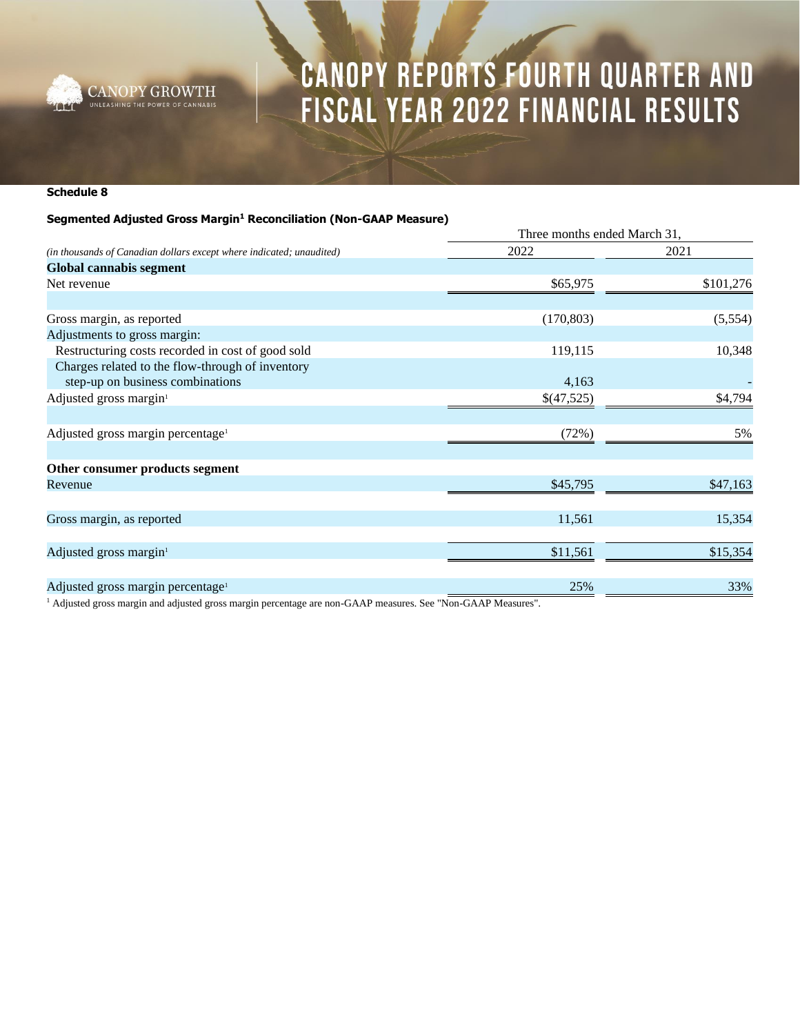

### **Schedule 8**

### **Segmented Adjusted Gross Margin<sup>1</sup> Reconciliation (Non-GAAP Measure)**

| (in thousands of Canadian dollars except where indicated; unaudited)                                                                                                                                                                                                                             | Three months ended March 31, |           |
|--------------------------------------------------------------------------------------------------------------------------------------------------------------------------------------------------------------------------------------------------------------------------------------------------|------------------------------|-----------|
|                                                                                                                                                                                                                                                                                                  | 2022                         | 2021      |
| <b>Global cannabis segment</b>                                                                                                                                                                                                                                                                   |                              |           |
| Net revenue                                                                                                                                                                                                                                                                                      | \$65,975                     | \$101,276 |
|                                                                                                                                                                                                                                                                                                  |                              |           |
| Gross margin, as reported                                                                                                                                                                                                                                                                        | (170, 803)                   | (5,554)   |
| Adjustments to gross margin:                                                                                                                                                                                                                                                                     |                              |           |
| Restructuring costs recorded in cost of good sold                                                                                                                                                                                                                                                | 119,115                      | 10,348    |
| Charges related to the flow-through of inventory                                                                                                                                                                                                                                                 |                              |           |
| step-up on business combinations                                                                                                                                                                                                                                                                 | 4,163                        |           |
| Adjusted gross margin <sup>1</sup>                                                                                                                                                                                                                                                               | \$(47,525)                   | \$4,794   |
|                                                                                                                                                                                                                                                                                                  |                              |           |
| Adjusted gross margin percentage <sup>1</sup>                                                                                                                                                                                                                                                    | (72%)                        | 5%        |
|                                                                                                                                                                                                                                                                                                  |                              |           |
| Other consumer products segment                                                                                                                                                                                                                                                                  |                              |           |
| Revenue                                                                                                                                                                                                                                                                                          | \$45,795                     | \$47,163  |
|                                                                                                                                                                                                                                                                                                  |                              |           |
| Gross margin, as reported                                                                                                                                                                                                                                                                        | 11,561                       | 15,354    |
|                                                                                                                                                                                                                                                                                                  |                              |           |
| Adjusted gross margin <sup>1</sup>                                                                                                                                                                                                                                                               | \$11,561                     | \$15,354  |
|                                                                                                                                                                                                                                                                                                  |                              |           |
| Adjusted gross margin percentage <sup>1</sup>                                                                                                                                                                                                                                                    | 25%                          | 33%       |
| $\mathbf{1}$ and $\mathbf{1}$ and $\mathbf{1}$ and $\mathbf{1}$ and $\mathbf{1}$ and $\mathbf{1}$ and $\mathbf{1}$ and $\mathbf{1}$ and $\mathbf{1}$ and $\mathbf{1}$ and $\mathbf{1}$ and $\mathbf{1}$ and $\mathbf{1}$ and $\mathbf{1}$ and $\mathbf{1}$ and $\mathbf{1}$ and $\mathbf{1}$ and |                              |           |

<sup>1</sup> Adjusted gross margin and adjusted gross margin percentage are non-GAAP measures. See "Non-GAAP Measures".